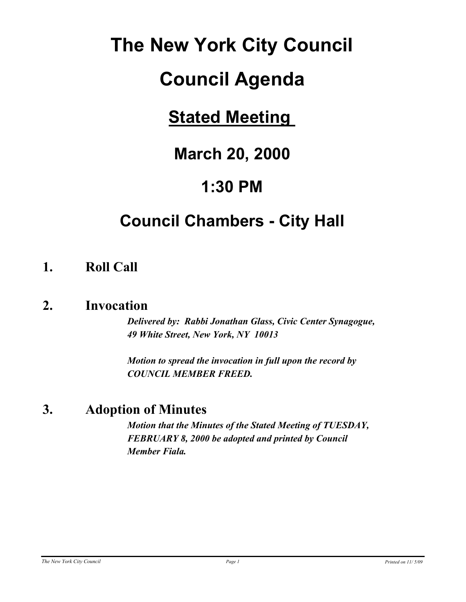# **The New York City Council**

# **Council Agenda**

# **Stated Meeting**

# **March 20, 2000**

# **1:30 PM**

# **Council Chambers - City Hall**

## **1. Roll Call**

## **2. Invocation**

*Delivered by: Rabbi Jonathan Glass, Civic Center Synagogue, 49 White Street, New York, NY 10013*

*Motion to spread the invocation in full upon the record by COUNCIL MEMBER FREED.*

## **3. Adoption of Minutes**

*Motion that the Minutes of the Stated Meeting of TUESDAY, FEBRUARY 8, 2000 be adopted and printed by Council Member Fiala.*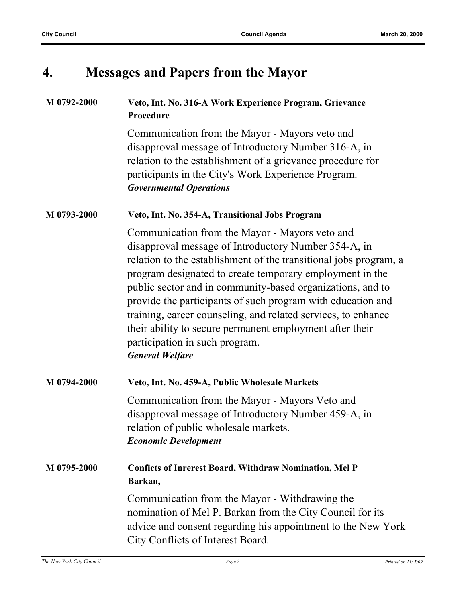# **4. Messages and Papers from the Mayor**

| M 0792-2000 | Veto, Int. No. 316-A Work Experience Program, Grievance<br>Procedure                                                                                                                                                                                                                                                                                                                                                                                                                                                                                          |
|-------------|---------------------------------------------------------------------------------------------------------------------------------------------------------------------------------------------------------------------------------------------------------------------------------------------------------------------------------------------------------------------------------------------------------------------------------------------------------------------------------------------------------------------------------------------------------------|
|             | Communication from the Mayor - Mayors veto and<br>disapproval message of Introductory Number 316-A, in<br>relation to the establishment of a grievance procedure for<br>participants in the City's Work Experience Program.<br><b>Governmental Operations</b>                                                                                                                                                                                                                                                                                                 |
| M 0793-2000 | Veto, Int. No. 354-A, Transitional Jobs Program                                                                                                                                                                                                                                                                                                                                                                                                                                                                                                               |
|             | Communication from the Mayor - Mayors veto and<br>disapproval message of Introductory Number 354-A, in<br>relation to the establishment of the transitional jobs program, a<br>program designated to create temporary employment in the<br>public sector and in community-based organizations, and to<br>provide the participants of such program with education and<br>training, career counseling, and related services, to enhance<br>their ability to secure permanent employment after their<br>participation in such program.<br><b>General Welfare</b> |
| M 0794-2000 | Veto, Int. No. 459-A, Public Wholesale Markets                                                                                                                                                                                                                                                                                                                                                                                                                                                                                                                |
|             | Communication from the Mayor - Mayors Veto and<br>disapproval message of Introductory Number 459-A, in<br>relation of public wholesale markets.<br><b>Economic Development</b>                                                                                                                                                                                                                                                                                                                                                                                |
| M 0795-2000 | <b>Conficts of Inrerest Board, Withdraw Nomination, Mel P</b><br>Barkan,                                                                                                                                                                                                                                                                                                                                                                                                                                                                                      |
|             | Communication from the Mayor - Withdrawing the<br>nomination of Mel P. Barkan from the City Council for its<br>advice and consent regarding his appointment to the New York<br>City Conflicts of Interest Board.                                                                                                                                                                                                                                                                                                                                              |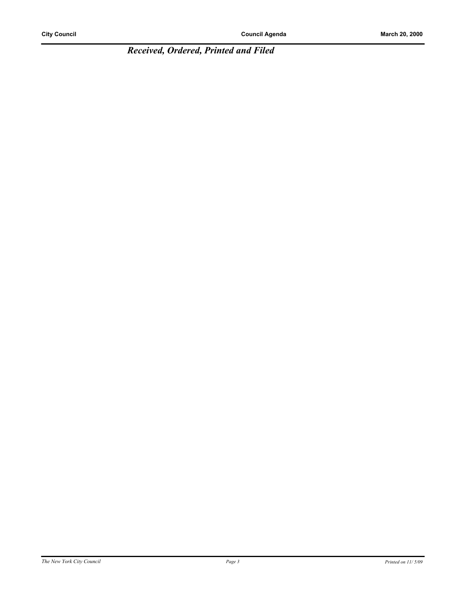*Received, Ordered, Printed and Filed*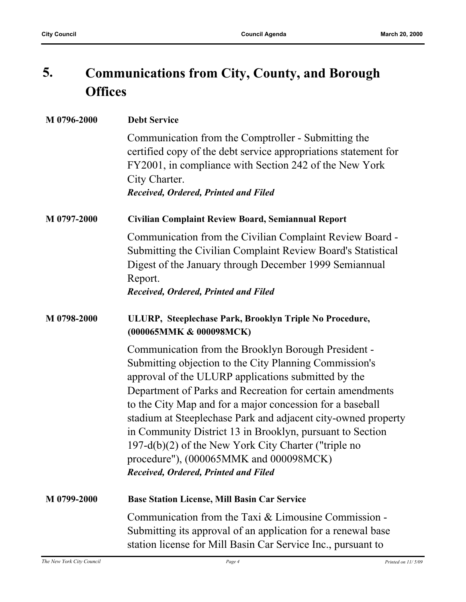#### **Communications from City, County, and Borough Offices 5.**

| M 0796-2000 | <b>Debt Service</b>                                                                                                                                                                                                                                                                                                                                                                                                                                                                                                                                                    |
|-------------|------------------------------------------------------------------------------------------------------------------------------------------------------------------------------------------------------------------------------------------------------------------------------------------------------------------------------------------------------------------------------------------------------------------------------------------------------------------------------------------------------------------------------------------------------------------------|
|             | Communication from the Comptroller - Submitting the<br>certified copy of the debt service appropriations statement for<br>FY2001, in compliance with Section 242 of the New York<br>City Charter.<br>Received, Ordered, Printed and Filed                                                                                                                                                                                                                                                                                                                              |
| M 0797-2000 | Civilian Complaint Review Board, Semiannual Report                                                                                                                                                                                                                                                                                                                                                                                                                                                                                                                     |
|             | Communication from the Civilian Complaint Review Board -<br>Submitting the Civilian Complaint Review Board's Statistical<br>Digest of the January through December 1999 Semiannual<br>Report.<br>Received, Ordered, Printed and Filed                                                                                                                                                                                                                                                                                                                                  |
| M 0798-2000 | ULURP, Steeplechase Park, Brooklyn Triple No Procedure,<br>(000065MMK & 000098MCK)                                                                                                                                                                                                                                                                                                                                                                                                                                                                                     |
|             | Communication from the Brooklyn Borough President -<br>Submitting objection to the City Planning Commission's<br>approval of the ULURP applications submitted by the<br>Department of Parks and Recreation for certain amendments<br>to the City Map and for a major concession for a baseball<br>stadium at Steeplechase Park and adjacent city-owned property<br>in Community District 13 in Brooklyn, pursuant to Section<br>197-d(b)(2) of the New York City Charter ("triple no<br>procedure"), (000065MMK and 000098MCK)<br>Received, Ordered, Printed and Filed |
| M 0799-2000 | <b>Base Station License, Mill Basin Car Service</b>                                                                                                                                                                                                                                                                                                                                                                                                                                                                                                                    |
|             | Communication from the Taxi & Limousine Commission -<br>Submitting its approval of an application for a renewal base<br>station license for Mill Basin Car Service Inc., pursuant to                                                                                                                                                                                                                                                                                                                                                                                   |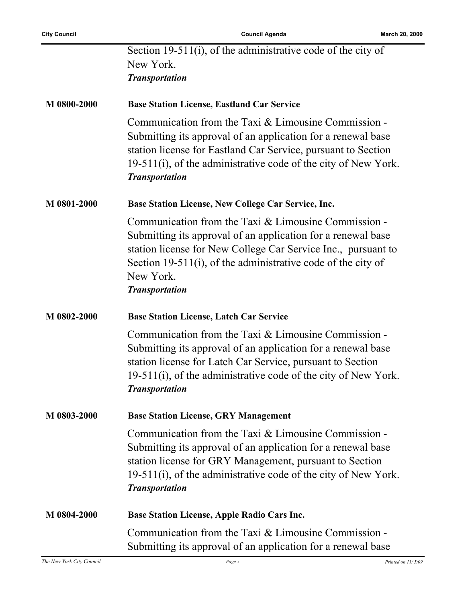|             | Section 19-511(i), of the administrative code of the city of<br>New York.<br><b>Transportation</b>                                                                                                                                                                                          |
|-------------|---------------------------------------------------------------------------------------------------------------------------------------------------------------------------------------------------------------------------------------------------------------------------------------------|
| M 0800-2000 | <b>Base Station License, Eastland Car Service</b>                                                                                                                                                                                                                                           |
|             | Communication from the Taxi & Limousine Commission -<br>Submitting its approval of an application for a renewal base<br>station license for Eastland Car Service, pursuant to Section<br>19-511(i), of the administrative code of the city of New York.<br><b>Transportation</b>            |
| M 0801-2000 | Base Station License, New College Car Service, Inc.                                                                                                                                                                                                                                         |
|             | Communication from the Taxi & Limousine Commission -<br>Submitting its approval of an application for a renewal base<br>station license for New College Car Service Inc., pursuant to<br>Section 19-511(i), of the administrative code of the city of<br>New York.<br><b>Transportation</b> |
| M 0802-2000 | <b>Base Station License, Latch Car Service</b>                                                                                                                                                                                                                                              |
|             | Communication from the Taxi & Limousine Commission -<br>Submitting its approval of an application for a renewal base<br>station license for Latch Car Service, pursuant to Section<br>19-511(i), of the administrative code of the city of New York.<br><b>Transportation</b>               |
| M 0803-2000 | <b>Base Station License, GRY Management</b>                                                                                                                                                                                                                                                 |
|             | Communication from the Taxi & Limousine Commission -<br>Submitting its approval of an application for a renewal base<br>station license for GRY Management, pursuant to Section<br>19-511(i), of the administrative code of the city of New York.<br><b>Transportation</b>                  |
| M 0804-2000 | <b>Base Station License, Apple Radio Cars Inc.</b>                                                                                                                                                                                                                                          |
|             | Communication from the Taxi & Limousine Commission -<br>Submitting its approval of an application for a renewal base                                                                                                                                                                        |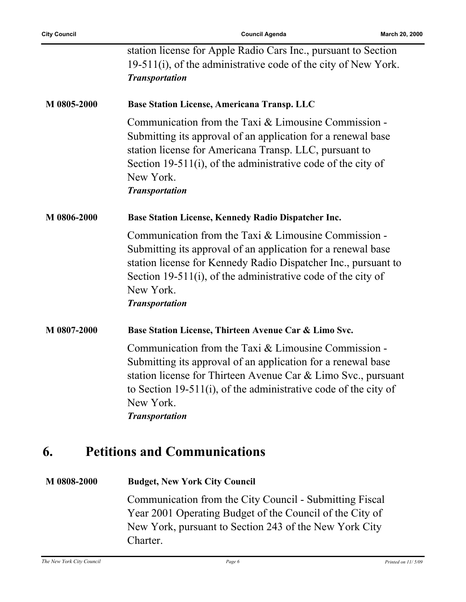|             | station license for Apple Radio Cars Inc., pursuant to Section<br>19-511(i), of the administrative code of the city of New York.                                                                                                                                                               |
|-------------|------------------------------------------------------------------------------------------------------------------------------------------------------------------------------------------------------------------------------------------------------------------------------------------------|
|             | <b>Transportation</b>                                                                                                                                                                                                                                                                          |
| M 0805-2000 | <b>Base Station License, Americana Transp. LLC</b>                                                                                                                                                                                                                                             |
|             | Communication from the Taxi & Limousine Commission -<br>Submitting its approval of an application for a renewal base<br>station license for Americana Transp. LLC, pursuant to<br>Section 19-511(i), of the administrative code of the city of<br>New York.<br><b>Transportation</b>           |
| M 0806-2000 | <b>Base Station License, Kennedy Radio Dispatcher Inc.</b>                                                                                                                                                                                                                                     |
|             | Communication from the Taxi & Limousine Commission -<br>Submitting its approval of an application for a renewal base<br>station license for Kennedy Radio Dispatcher Inc., pursuant to<br>Section 19-511(i), of the administrative code of the city of<br>New York.<br><b>Transportation</b>   |
| M 0807-2000 | Base Station License, Thirteen Avenue Car & Limo Svc.                                                                                                                                                                                                                                          |
|             | Communication from the Taxi & Limousine Commission -<br>Submitting its approval of an application for a renewal base<br>station license for Thirteen Avenue Car & Limo Svc., pursuant<br>to Section 19-511(i), of the administrative code of the city of<br>New York.<br><b>Transportation</b> |

## **6. Petitions and Communications**

**M 0808-2000 Budget, New York City Council** Communication from the City Council - Submitting Fiscal Year 2001 Operating Budget of the Council of the City of New York, pursuant to Section 243 of the New York City Charter.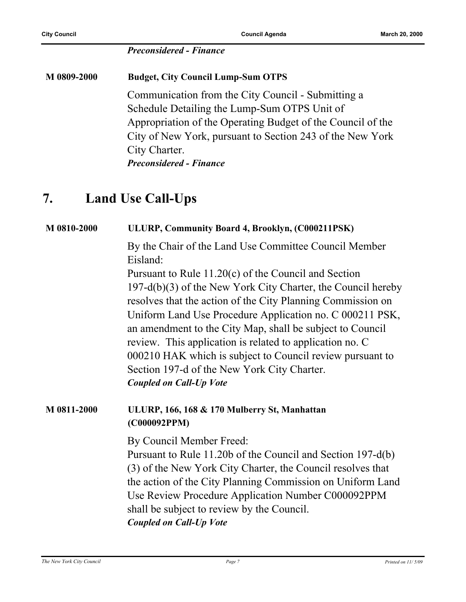#### *Preconsidered - Finance*

**M 0809-2000 Budget, City Council Lump-Sum OTPS** Communication from the City Council - Submitting a Schedule Detailing the Lump-Sum OTPS Unit of Appropriation of the Operating Budget of the Council of the City of New York, pursuant to Section 243 of the New York City Charter. *Preconsidered - Finance*

#### **7. Land Use Call-Ups**

## **M 0810-2000 ULURP, Community Board 4, Brooklyn, (C000211PSK)** By the Chair of the Land Use Committee Council Member Eisland: Pursuant to Rule 11.20(c) of the Council and Section 197-d(b)(3) of the New York City Charter, the Council hereby resolves that the action of the City Planning Commission on Uniform Land Use Procedure Application no. C 000211 PSK, an amendment to the City Map, shall be subject to Council review. This application is related to application no. C 000210 HAK which is subject to Council review pursuant to Section 197-d of the New York City Charter. *Coupled on Call-Up Vote* **M 0811-2000 ULURP, 166, 168 & 170 Mulberry St, Manhattan (C000092PPM)** By Council Member Freed: Pursuant to Rule 11.20b of the Council and Section 197-d(b) (3) of the New York City Charter, the Council resolves that the action of the City Planning Commission on Uniform Land Use Review Procedure Application Number C000092PPM shall be subject to review by the Council. *Coupled on Call-Up Vote*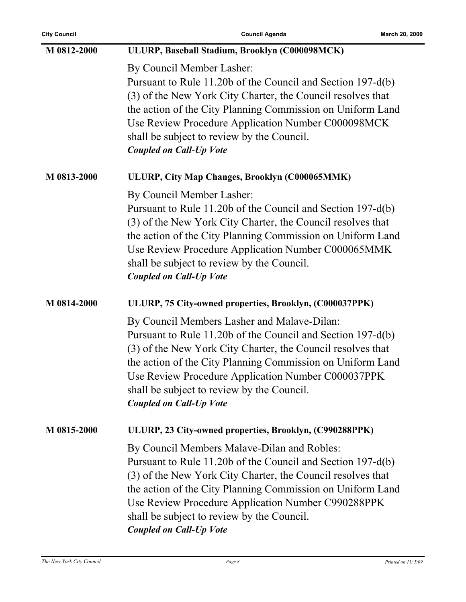| M 0812-2000 | ULURP, Baseball Stadium, Brooklyn (C000098MCK)                                                                                                                                                                                                                                                                                                                                |
|-------------|-------------------------------------------------------------------------------------------------------------------------------------------------------------------------------------------------------------------------------------------------------------------------------------------------------------------------------------------------------------------------------|
|             | By Council Member Lasher:<br>Pursuant to Rule 11.20b of the Council and Section 197-d(b)<br>(3) of the New York City Charter, the Council resolves that<br>the action of the City Planning Commission on Uniform Land<br>Use Review Procedure Application Number C000098MCK<br>shall be subject to review by the Council.<br><b>Coupled on Call-Up Vote</b>                   |
| M 0813-2000 | ULURP, City Map Changes, Brooklyn (C000065MMK)                                                                                                                                                                                                                                                                                                                                |
|             | By Council Member Lasher:<br>Pursuant to Rule 11.20b of the Council and Section 197-d(b)<br>(3) of the New York City Charter, the Council resolves that<br>the action of the City Planning Commission on Uniform Land<br>Use Review Procedure Application Number C000065MMK<br>shall be subject to review by the Council.<br><b>Coupled on Call-Up Vote</b>                   |
| M 0814-2000 | ULURP, 75 City-owned properties, Brooklyn, (C000037PPK)                                                                                                                                                                                                                                                                                                                       |
|             | By Council Members Lasher and Malave-Dilan:<br>Pursuant to Rule 11.20b of the Council and Section 197-d(b)<br>(3) of the New York City Charter, the Council resolves that<br>the action of the City Planning Commission on Uniform Land<br>Use Review Procedure Application Number C000037PPK<br>shall be subject to review by the Council.<br><b>Coupled on Call-Up Vote</b> |
| M 0815-2000 | ULURP, 23 City-owned properties, Brooklyn, (C990288PPK)                                                                                                                                                                                                                                                                                                                       |
|             | By Council Members Malave-Dilan and Robles:<br>Pursuant to Rule 11.20b of the Council and Section 197-d(b)<br>(3) of the New York City Charter, the Council resolves that<br>the action of the City Planning Commission on Uniform Land<br>Use Review Procedure Application Number C990288PPK<br>shall be subject to review by the Council.<br><b>Coupled on Call-Up Vote</b> |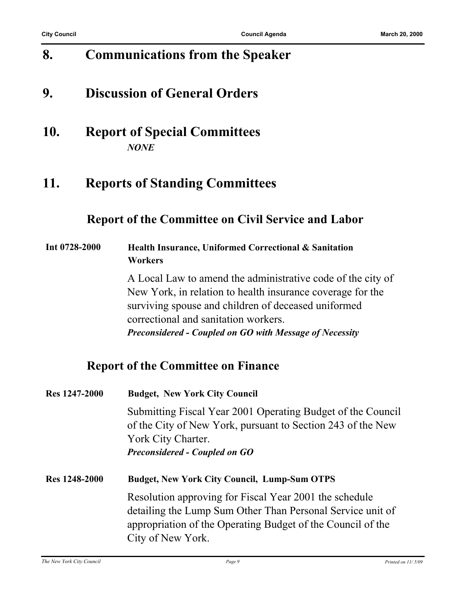## **8. Communications from the Speaker**

## **9. Discussion of General Orders**

### **10. Report of Special Committees** *NONE*

## **11. Reports of Standing Committees**

#### **Report of the Committee on Civil Service and Labor**

#### **Int 0728-2000 Health Insurance, Uniformed Correctional & Sanitation Workers**

A Local Law to amend the administrative code of the city of New York, in relation to health insurance coverage for the surviving spouse and children of deceased uniformed correctional and sanitation workers. *Preconsidered - Coupled on GO with Message of Necessity*

#### **Report of the Committee on Finance**

| Res 1247-2000        | <b>Budget, New York City Council</b>                                                                                                             |
|----------------------|--------------------------------------------------------------------------------------------------------------------------------------------------|
|                      | Submitting Fiscal Year 2001 Operating Budget of the Council<br>of the City of New York, pursuant to Section 243 of the New<br>York City Charter. |
|                      | <b>Preconsidered - Coupled on GO</b>                                                                                                             |
| <b>Res</b> 1248-2000 | <b>Budget, New York City Council, Lump-Sum OTPS</b>                                                                                              |
|                      | Resolution approving for Fiscal Year 2001 the schedule                                                                                           |
|                      | detailing the Lump Sum Other Than Personal Service unit of                                                                                       |
|                      | appropriation of the Operating Budget of the Council of the                                                                                      |
|                      | City of New York.                                                                                                                                |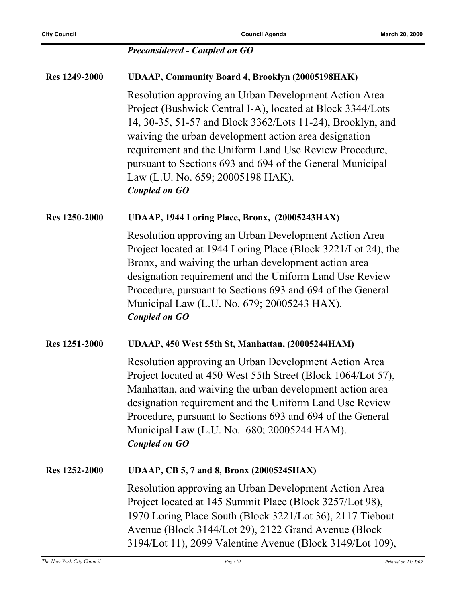#### *Preconsidered - Coupled on GO*

| <b>Res 1249-2000</b> | <b>UDAAP, Community Board 4, Brooklyn (20005198HAK)</b>                                                                                                                                                                                                                                                                                                                                                                        |
|----------------------|--------------------------------------------------------------------------------------------------------------------------------------------------------------------------------------------------------------------------------------------------------------------------------------------------------------------------------------------------------------------------------------------------------------------------------|
|                      | Resolution approving an Urban Development Action Area<br>Project (Bushwick Central I-A), located at Block 3344/Lots<br>14, 30-35, 51-57 and Block 3362/Lots 11-24), Brooklyn, and<br>waiving the urban development action area designation<br>requirement and the Uniform Land Use Review Procedure,<br>pursuant to Sections 693 and 694 of the General Municipal<br>Law (L.U. No. 659; 20005198 HAK).<br><b>Coupled on GO</b> |
| <b>Res 1250-2000</b> | UDAAP, 1944 Loring Place, Bronx, (20005243HAX)                                                                                                                                                                                                                                                                                                                                                                                 |
|                      | Resolution approving an Urban Development Action Area<br>Project located at 1944 Loring Place (Block 3221/Lot 24), the<br>Bronx, and waiving the urban development action area<br>designation requirement and the Uniform Land Use Review<br>Procedure, pursuant to Sections 693 and 694 of the General<br>Municipal Law (L.U. No. 679; 20005243 HAX).<br><b>Coupled on GO</b>                                                 |
| <b>Res 1251-2000</b> | UDAAP, 450 West 55th St, Manhattan, (20005244HAM)                                                                                                                                                                                                                                                                                                                                                                              |
|                      | Resolution approving an Urban Development Action Area<br>Project located at 450 West 55th Street (Block 1064/Lot 57),<br>Manhattan, and waiving the urban development action area<br>designation requirement and the Uniform Land Use Review<br>Procedure, pursuant to Sections 693 and 694 of the General<br>Municipal Law (L.U. No. 680; 20005244 HAM).<br><b>Coupled on GO</b>                                              |
| Res 1252-2000        | <b>UDAAP, CB 5, 7 and 8, Bronx (20005245HAX)</b>                                                                                                                                                                                                                                                                                                                                                                               |
|                      | Resolution approving an Urban Development Action Area<br>Project located at 145 Summit Place (Block 3257/Lot 98),<br>1970 Loring Place South (Block 3221/Lot 36), 2117 Tiebout<br>Avenue (Block 3144/Lot 29), 2122 Grand Avenue (Block)<br>3194/Lot 11), 2099 Valentine Avenue (Block 3149/Lot 109),                                                                                                                           |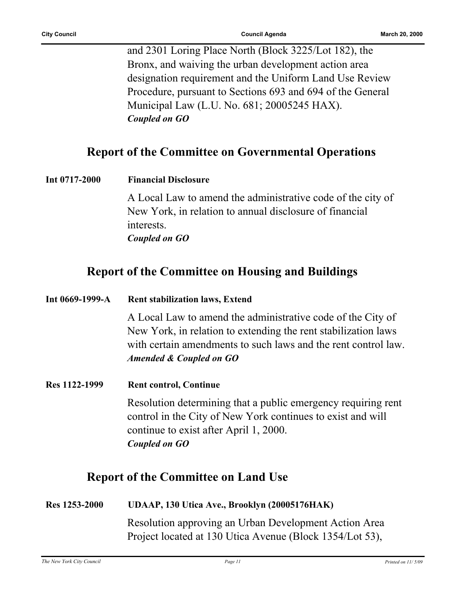and 2301 Loring Place North (Block 3225/Lot 182), the Bronx, and waiving the urban development action area designation requirement and the Uniform Land Use Review Procedure, pursuant to Sections 693 and 694 of the General Municipal Law (L.U. No. 681; 20005245 HAX). *Coupled on GO*

#### **Report of the Committee on Governmental Operations**

| Int 0717-2000 | <b>Financial Disclosure</b>                                           |
|---------------|-----------------------------------------------------------------------|
|               | A Local Law to amend the administrative code of the city of           |
|               | New York, in relation to annual disclosure of financial<br>interests. |
|               | Coupled on GO                                                         |
|               |                                                                       |

#### **Report of the Committee on Housing and Buildings**

| Int 0669-1999-A | <b>Rent stabilization laws, Extend</b>                                                                                                                                                                                     |
|-----------------|----------------------------------------------------------------------------------------------------------------------------------------------------------------------------------------------------------------------------|
|                 | A Local Law to amend the administrative code of the City of<br>New York, in relation to extending the rent stabilization laws<br>with certain amendments to such laws and the rent control law.<br>Amended & Coupled on GO |
| Res 1122-1999   | <b>Rent control, Continue</b>                                                                                                                                                                                              |
|                 | Resolution determining that a public emergency requiring rent<br>control in the City of New York continues to exist and will<br>continue to exist after April 1, 2000.<br>Coupled on GO                                    |
|                 | <b>Report of the Committee on Land Use</b>                                                                                                                                                                                 |

| Res 1253-2000 | UDAAP, 130 Utica Ave., Brooklyn (20005176HAK)            |
|---------------|----------------------------------------------------------|
|               | Resolution approving an Urban Development Action Area    |
|               | Project located at 130 Utica Avenue (Block 1354/Lot 53), |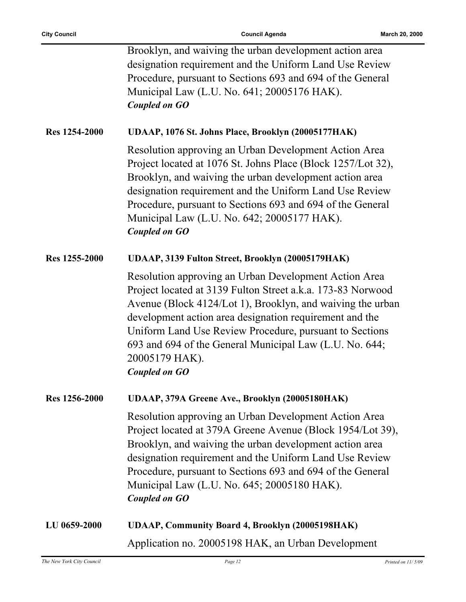|               | Brooklyn, and waiving the urban development action area<br>designation requirement and the Uniform Land Use Review<br>Procedure, pursuant to Sections 693 and 694 of the General<br>Municipal Law (L.U. No. 641; 20005176 HAK).<br><b>Coupled on GO</b>                                                                                                                                                       |
|---------------|---------------------------------------------------------------------------------------------------------------------------------------------------------------------------------------------------------------------------------------------------------------------------------------------------------------------------------------------------------------------------------------------------------------|
| Res 1254-2000 | UDAAP, 1076 St. Johns Place, Brooklyn (20005177HAK)                                                                                                                                                                                                                                                                                                                                                           |
|               | Resolution approving an Urban Development Action Area<br>Project located at 1076 St. Johns Place (Block 1257/Lot 32),<br>Brooklyn, and waiving the urban development action area<br>designation requirement and the Uniform Land Use Review<br>Procedure, pursuant to Sections 693 and 694 of the General<br>Municipal Law (L.U. No. 642; 20005177 HAK).<br><b>Coupled on GO</b>                              |
| Res 1255-2000 | UDAAP, 3139 Fulton Street, Brooklyn (20005179HAK)                                                                                                                                                                                                                                                                                                                                                             |
|               | Resolution approving an Urban Development Action Area<br>Project located at 3139 Fulton Street a.k.a. 173-83 Norwood<br>Avenue (Block 4124/Lot 1), Brooklyn, and waiving the urban<br>development action area designation requirement and the<br>Uniform Land Use Review Procedure, pursuant to Sections<br>693 and 694 of the General Municipal Law (L.U. No. 644;<br>20005179 HAK).<br><b>Coupled on GO</b> |
| Res 1256-2000 | UDAAP, 379A Greene Ave., Brooklyn (20005180HAK)                                                                                                                                                                                                                                                                                                                                                               |
|               | Resolution approving an Urban Development Action Area<br>Project located at 379A Greene Avenue (Block 1954/Lot 39),<br>Brooklyn, and waiving the urban development action area<br>designation requirement and the Uniform Land Use Review<br>Procedure, pursuant to Sections 693 and 694 of the General<br>Municipal Law (L.U. No. 645; 20005180 HAK).<br><b>Coupled on GO</b>                                |
| LU 0659-2000  | <b>UDAAP, Community Board 4, Brooklyn (20005198HAK)</b>                                                                                                                                                                                                                                                                                                                                                       |
|               | Application no. 20005198 HAK, an Urban Development                                                                                                                                                                                                                                                                                                                                                            |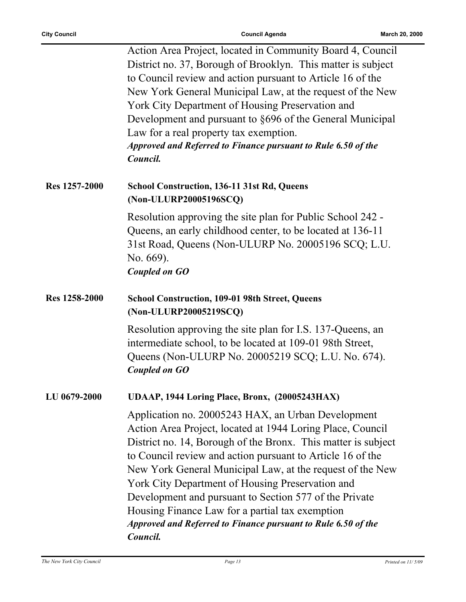|               | Action Area Project, located in Community Board 4, Council<br>District no. 37, Borough of Brooklyn. This matter is subject<br>to Council review and action pursuant to Article 16 of the<br>New York General Municipal Law, at the request of the New<br>York City Department of Housing Preservation and<br>Development and pursuant to §696 of the General Municipal<br>Law for a real property tax exemption.<br>Approved and Referred to Finance pursuant to Rule 6.50 of the<br>Council.                                                              |
|---------------|------------------------------------------------------------------------------------------------------------------------------------------------------------------------------------------------------------------------------------------------------------------------------------------------------------------------------------------------------------------------------------------------------------------------------------------------------------------------------------------------------------------------------------------------------------|
| Res 1257-2000 | <b>School Construction, 136-11 31st Rd, Queens</b><br>(Non-ULURP20005196SCQ)                                                                                                                                                                                                                                                                                                                                                                                                                                                                               |
|               | Resolution approving the site plan for Public School 242 -<br>Queens, an early childhood center, to be located at 136-11<br>31st Road, Queens (Non-ULURP No. 20005196 SCQ; L.U.<br>No. 669).<br><b>Coupled on GO</b>                                                                                                                                                                                                                                                                                                                                       |
| Res 1258-2000 | <b>School Construction, 109-01 98th Street, Queens</b><br>(Non-ULURP20005219SCQ)                                                                                                                                                                                                                                                                                                                                                                                                                                                                           |
|               | Resolution approving the site plan for I.S. 137-Queens, an<br>intermediate school, to be located at 109-01 98th Street,<br>Queens (Non-ULURP No. 20005219 SCQ; L.U. No. 674).<br><b>Coupled on GO</b>                                                                                                                                                                                                                                                                                                                                                      |
| LU 0679-2000  | UDAAP, 1944 Loring Place, Bronx, (20005243HAX)                                                                                                                                                                                                                                                                                                                                                                                                                                                                                                             |
|               | Application no. 20005243 HAX, an Urban Development<br>Action Area Project, located at 1944 Loring Place, Council<br>District no. 14, Borough of the Bronx. This matter is subject<br>to Council review and action pursuant to Article 16 of the<br>New York General Municipal Law, at the request of the New<br>York City Department of Housing Preservation and<br>Development and pursuant to Section 577 of the Private<br>Housing Finance Law for a partial tax exemption<br>Approved and Referred to Finance pursuant to Rule 6.50 of the<br>Council. |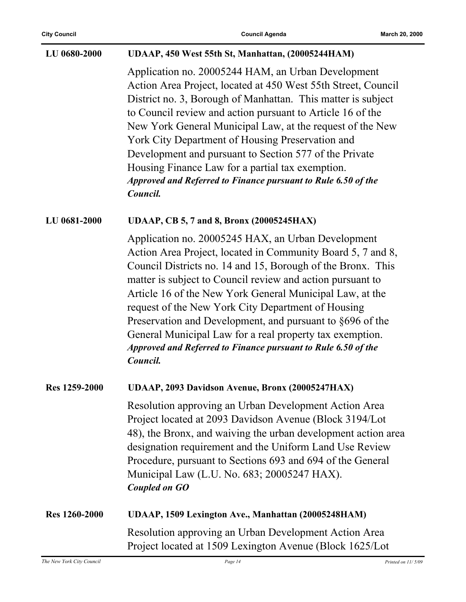| LU 0680-2000         | UDAAP, 450 West 55th St, Manhattan, (20005244HAM)                                                                                                                                                                                                                                                                                                                                                                                                                                                                                                                      |
|----------------------|------------------------------------------------------------------------------------------------------------------------------------------------------------------------------------------------------------------------------------------------------------------------------------------------------------------------------------------------------------------------------------------------------------------------------------------------------------------------------------------------------------------------------------------------------------------------|
|                      | Application no. 20005244 HAM, an Urban Development<br>Action Area Project, located at 450 West 55th Street, Council<br>District no. 3, Borough of Manhattan. This matter is subject<br>to Council review and action pursuant to Article 16 of the<br>New York General Municipal Law, at the request of the New<br>York City Department of Housing Preservation and<br>Development and pursuant to Section 577 of the Private<br>Housing Finance Law for a partial tax exemption.<br>Approved and Referred to Finance pursuant to Rule 6.50 of the<br>Council.          |
| LU 0681-2000         | <b>UDAAP, CB 5, 7 and 8, Bronx (20005245HAX)</b>                                                                                                                                                                                                                                                                                                                                                                                                                                                                                                                       |
|                      | Application no. 20005245 HAX, an Urban Development<br>Action Area Project, located in Community Board 5, 7 and 8,<br>Council Districts no. 14 and 15, Borough of the Bronx. This<br>matter is subject to Council review and action pursuant to<br>Article 16 of the New York General Municipal Law, at the<br>request of the New York City Department of Housing<br>Preservation and Development, and pursuant to §696 of the<br>General Municipal Law for a real property tax exemption.<br>Approved and Referred to Finance pursuant to Rule 6.50 of the<br>Council. |
| Res 1259-2000        | UDAAP, 2093 Davidson Avenue, Bronx (20005247HAX)                                                                                                                                                                                                                                                                                                                                                                                                                                                                                                                       |
|                      | Resolution approving an Urban Development Action Area<br>Project located at 2093 Davidson Avenue (Block 3194/Lot)<br>48), the Bronx, and waiving the urban development action area<br>designation requirement and the Uniform Land Use Review<br>Procedure, pursuant to Sections 693 and 694 of the General<br>Municipal Law (L.U. No. 683; 20005247 HAX).<br><b>Coupled on GO</b>                                                                                                                                                                                     |
| <b>Res</b> 1260-2000 | UDAAP, 1509 Lexington Ave., Manhattan (20005248HAM)                                                                                                                                                                                                                                                                                                                                                                                                                                                                                                                    |
|                      | Resolution approving an Urban Development Action Area<br>Project located at 1509 Lexington Avenue (Block 1625/Lot                                                                                                                                                                                                                                                                                                                                                                                                                                                      |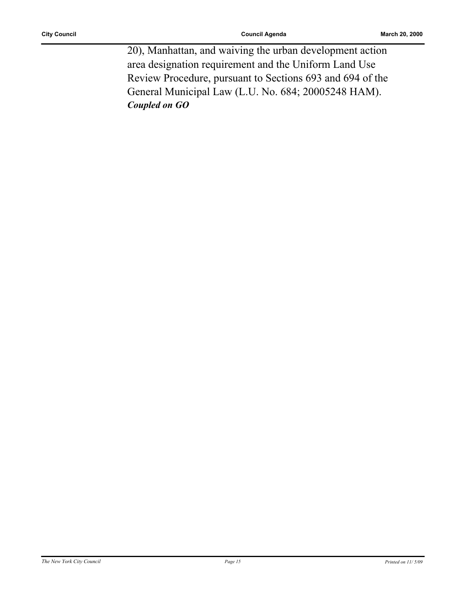20), Manhattan, and waiving the urban development action area designation requirement and the Uniform Land Use Review Procedure, pursuant to Sections 693 and 694 of the General Municipal Law (L.U. No. 684; 20005248 HAM). *Coupled on GO*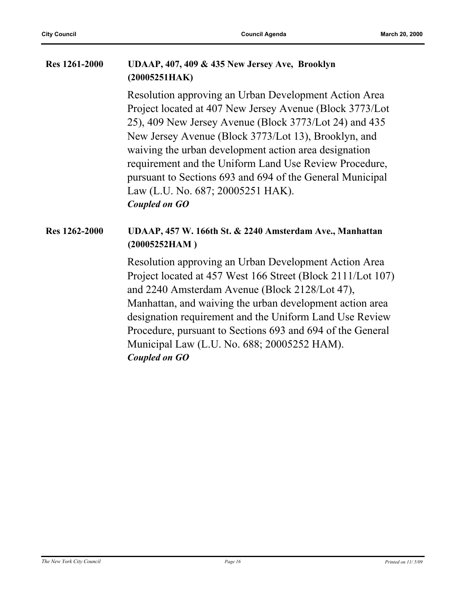#### **Res 1261-2000 UDAAP, 407, 409 & 435 New Jersey Ave, Brooklyn (20005251HAK)**

Resolution approving an Urban Development Action Area Project located at 407 New Jersey Avenue (Block 3773/Lot 25), 409 New Jersey Avenue (Block 3773/Lot 24) and 435 New Jersey Avenue (Block 3773/Lot 13), Brooklyn, and waiving the urban development action area designation requirement and the Uniform Land Use Review Procedure, pursuant to Sections 693 and 694 of the General Municipal Law (L.U. No. 687; 20005251 HAK). *Coupled on GO*

#### **Res 1262-2000 UDAAP, 457 W. 166th St. & 2240 Amsterdam Ave., Manhattan (20005252HAM )**

Resolution approving an Urban Development Action Area Project located at 457 West 166 Street (Block 2111/Lot 107) and 2240 Amsterdam Avenue (Block 2128/Lot 47), Manhattan, and waiving the urban development action area designation requirement and the Uniform Land Use Review Procedure, pursuant to Sections 693 and 694 of the General Municipal Law (L.U. No. 688; 20005252 HAM). *Coupled on GO*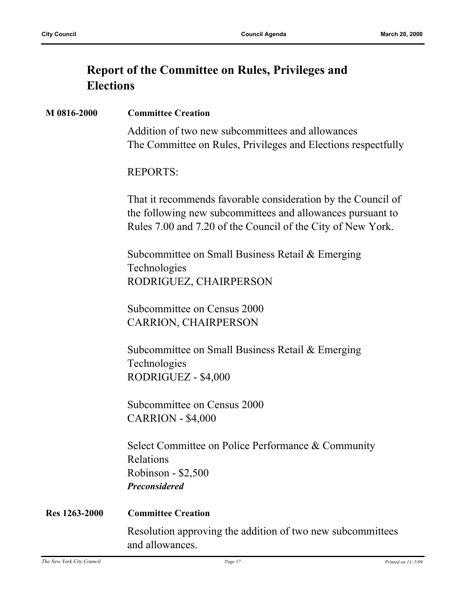### **Report of the Committee on Rules, Privileges and Elections**

#### **M 0816-2000 Committee Creation**

Addition of two new subcommittees and allowances The Committee on Rules, Privileges and Elections respectfully

#### REPORTS:

That it recommends favorable consideration by the Council of the following new subcommittees and allowances pursuant to Rules 7.00 and 7.20 of the Council of the City of New York.

Subcommittee on Small Business Retail & Emerging Technologies RODRIGUEZ, CHAIRPERSON

Subcommittee on Census 2000 CARRION, CHAIRPERSON

Subcommittee on Small Business Retail & Emerging Technologies RODRIGUEZ - \$4,000

Subcommittee on Census 2000 CARRION - \$4,000

Select Committee on Police Performance & Community Relations Robinson - \$2,500 *Preconsidered*

## **Res 1263-2000 Committee Creation** Resolution approving the addition of two new subcommittees and allowances.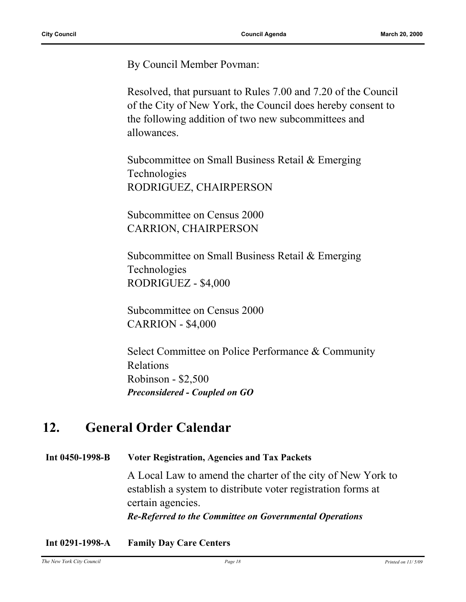By Council Member Povman:

Resolved, that pursuant to Rules 7.00 and 7.20 of the Council of the City of New York, the Council does hereby consent to the following addition of two new subcommittees and allowances.

Subcommittee on Small Business Retail & Emerging Technologies RODRIGUEZ, CHAIRPERSON

Subcommittee on Census 2000 CARRION, CHAIRPERSON

Subcommittee on Small Business Retail & Emerging Technologies RODRIGUEZ - \$4,000

Subcommittee on Census 2000 CARRION - \$4,000

Select Committee on Police Performance & Community Relations Robinson - \$2,500 *Preconsidered - Coupled on GO*

### **12. General Order Calendar**

**Int 0450-1998-B Voter Registration, Agencies and Tax Packets**

A Local Law to amend the charter of the city of New York to establish a system to distribute voter registration forms at certain agencies. *Re-Referred to the Committee on Governmental Operations*

**Int 0291-1998-A Family Day Care Centers**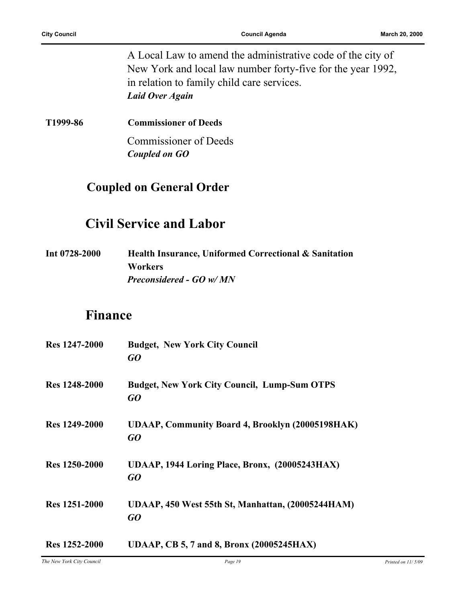A Local Law to amend the administrative code of the city of New York and local law number forty-five for the year 1992, in relation to family child care services. *Laid Over Again*

**T1999-86 Commissioner of Deeds**

Commissioner of Deeds *Coupled on GO*

#### **Coupled on General Order**

### **Civil Service and Labor**

**Int 0728-2000 Health Insurance, Uniformed Correctional & Sanitation Workers** *Preconsidered - GO w/ MN*

#### **Finance**

| <b>Res</b> 1247-2000 | <b>Budget, New York City Council</b><br>GO                    |
|----------------------|---------------------------------------------------------------|
| Res 1248-2000        | <b>Budget, New York City Council, Lump-Sum OTPS</b><br>GO     |
| <b>Res</b> 1249-2000 | <b>UDAAP, Community Board 4, Brooklyn (20005198HAK)</b><br>GO |
| Res 1250-2000        | UDAAP, 1944 Loring Place, Bronx, (20005243HAX)<br>GO          |
| Res 1251-2000        | UDAAP, 450 West 55th St, Manhattan, (20005244HAM)<br>GO       |
| Res 1252-2000        | UDAAP, CB 5, 7 and 8, Bronx (20005245HAX)                     |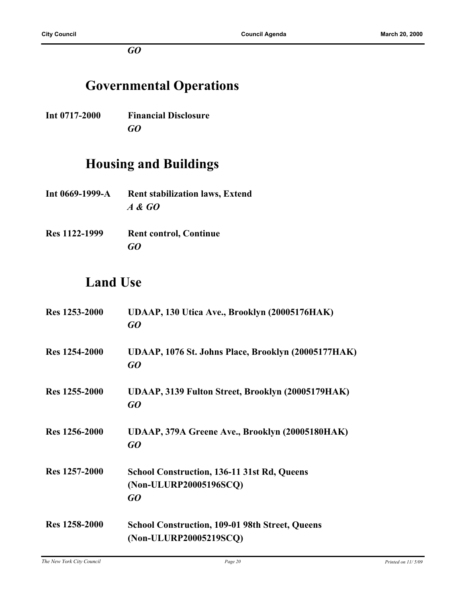*GO*

## **Governmental Operations**

**Int 0717-2000 Financial Disclosure** *GO*

## **Housing and Buildings**

- **Int 0669-1999-A Rent stabilization laws, Extend** *A & GO*
- **Res 1122-1999 Rent control, Continue** *GO*

## **Land Use**

| Res 1253-2000        | UDAAP, 130 Utica Ave., Brooklyn (20005176HAK)<br>GO                                |
|----------------------|------------------------------------------------------------------------------------|
| <b>Res</b> 1254-2000 | UDAAP, 1076 St. Johns Place, Brooklyn (20005177HAK)<br>GO                          |
| Res 1255-2000        | UDAAP, 3139 Fulton Street, Brooklyn (20005179HAK)<br>GQ                            |
| Res 1256-2000        | UDAAP, 379A Greene Ave., Brooklyn (20005180HAK)<br>GQ                              |
| Res 1257-2000        | <b>School Construction, 136-11 31st Rd, Queens</b><br>(Non-ULURP20005196SCQ)<br>GO |
| Res 1258-2000        | <b>School Construction, 109-01 98th Street, Queens</b><br>(Non-ULURP20005219SCQ)   |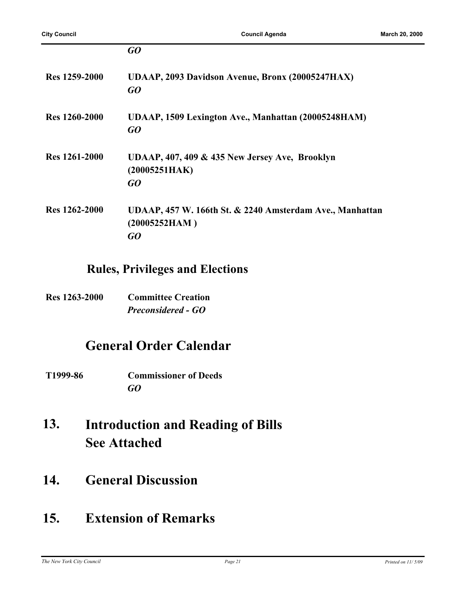|                      | GO                                                                              |
|----------------------|---------------------------------------------------------------------------------|
| Res 1259-2000        | UDAAP, 2093 Davidson Avenue, Bronx (20005247HAX)<br>GO                          |
| <b>Res</b> 1260-2000 | UDAAP, 1509 Lexington Ave., Manhattan (20005248HAM)<br>GO                       |
| Res 1261-2000        | UDAAP, 407, 409 & 435 New Jersey Ave, Brooklyn<br>(20005251HAK)<br>GO           |
| Res 1262-2000        | UDAAP, 457 W. 166th St. & 2240 Amsterdam Ave., Manhattan<br>(20005252HAM)<br>GO |

#### **Rules, Privileges and Elections**

**Res 1263-2000 Committee Creation** *Preconsidered - GO*

### **General Order Calendar**

- **T1999-86 Commissioner of Deeds** *GO*
- **Introduction and Reading of Bills See Attached 13.**
- **14. General Discussion**

## **15. Extension of Remarks**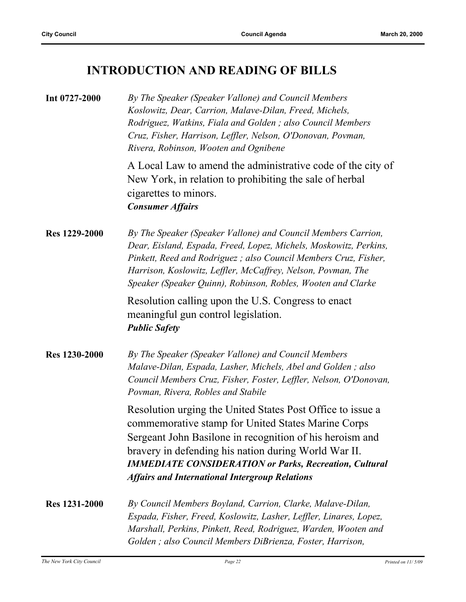## **INTRODUCTION AND READING OF BILLS**

| Int 0727-2000        | By The Speaker (Speaker Vallone) and Council Members<br>Koslowitz, Dear, Carrion, Malave-Dilan, Freed, Michels,<br>Rodriguez, Watkins, Fiala and Golden ; also Council Members<br>Cruz, Fisher, Harrison, Leffler, Nelson, O'Donovan, Povman,<br>Rivera, Robinson, Wooten and Ognibene                                                                         |
|----------------------|----------------------------------------------------------------------------------------------------------------------------------------------------------------------------------------------------------------------------------------------------------------------------------------------------------------------------------------------------------------|
|                      | A Local Law to amend the administrative code of the city of<br>New York, in relation to prohibiting the sale of herbal<br>cigarettes to minors.<br><b>Consumer Affairs</b>                                                                                                                                                                                     |
| <b>Res</b> 1229-2000 | By The Speaker (Speaker Vallone) and Council Members Carrion,<br>Dear, Eisland, Espada, Freed, Lopez, Michels, Moskowitz, Perkins,<br>Pinkett, Reed and Rodriguez; also Council Members Cruz, Fisher,<br>Harrison, Koslowitz, Leffler, McCaffrey, Nelson, Povman, The<br>Speaker (Speaker Quinn), Robinson, Robles, Wooten and Clarke                          |
|                      | Resolution calling upon the U.S. Congress to enact<br>meaningful gun control legislation.<br><b>Public Safety</b>                                                                                                                                                                                                                                              |
| <b>Res 1230-2000</b> | By The Speaker (Speaker Vallone) and Council Members<br>Malave-Dilan, Espada, Lasher, Michels, Abel and Golden; also<br>Council Members Cruz, Fisher, Foster, Leffler, Nelson, O'Donovan,<br>Povman, Rivera, Robles and Stabile                                                                                                                                |
|                      | Resolution urging the United States Post Office to issue a<br>commemorative stamp for United States Marine Corps<br>Sergeant John Basilone in recognition of his heroism and<br>bravery in defending his nation during World War II.<br><b>IMMEDIATE CONSIDERATION or Parks, Recreation, Cultural</b><br><b>Affairs and International Intergroup Relations</b> |
| <b>Res</b> 1231-2000 | By Council Members Boyland, Carrion, Clarke, Malave-Dilan,<br>Espada, Fisher, Freed, Koslowitz, Lasher, Leffler, Linares, Lopez,<br>Marshall, Perkins, Pinkett, Reed, Rodriguez, Warden, Wooten and<br>Golden; also Council Members DiBrienza, Foster, Harrison,                                                                                               |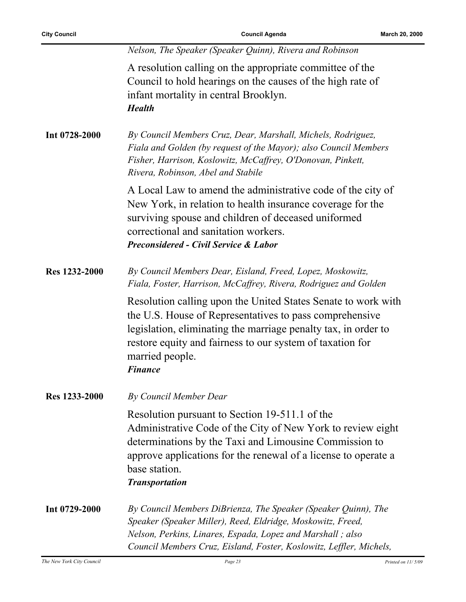ř.

|               | Nelson, The Speaker (Speaker Quinn), Rivera and Robinson                                                                                                                                                                                                                                     |
|---------------|----------------------------------------------------------------------------------------------------------------------------------------------------------------------------------------------------------------------------------------------------------------------------------------------|
|               | A resolution calling on the appropriate committee of the<br>Council to hold hearings on the causes of the high rate of<br>infant mortality in central Brooklyn.<br><b>Health</b>                                                                                                             |
| Int 0728-2000 | By Council Members Cruz, Dear, Marshall, Michels, Rodriguez,<br>Fiala and Golden (by request of the Mayor); also Council Members<br>Fisher, Harrison, Koslowitz, McCaffrey, O'Donovan, Pinkett,<br>Rivera, Robinson, Abel and Stabile                                                        |
|               | A Local Law to amend the administrative code of the city of<br>New York, in relation to health insurance coverage for the<br>surviving spouse and children of deceased uniformed<br>correctional and sanitation workers.<br><b>Preconsidered - Civil Service &amp; Labor</b>                 |
| Res 1232-2000 | By Council Members Dear, Eisland, Freed, Lopez, Moskowitz,<br>Fiala, Foster, Harrison, McCaffrey, Rivera, Rodriguez and Golden                                                                                                                                                               |
|               | Resolution calling upon the United States Senate to work with<br>the U.S. House of Representatives to pass comprehensive<br>legislation, eliminating the marriage penalty tax, in order to<br>restore equity and fairness to our system of taxation for<br>married people.<br><b>Finance</b> |
| Res 1233-2000 | <b>By Council Member Dear</b>                                                                                                                                                                                                                                                                |
|               | Resolution pursuant to Section 19-511.1 of the<br>Administrative Code of the City of New York to review eight<br>determinations by the Taxi and Limousine Commission to<br>approve applications for the renewal of a license to operate a<br>base station.<br><b>Transportation</b>          |
| Int 0729-2000 | By Council Members DiBrienza, The Speaker (Speaker Quinn), The<br>Speaker (Speaker Miller), Reed, Eldridge, Moskowitz, Freed,<br>Nelson, Perkins, Linares, Espada, Lopez and Marshall; also<br>Council Members Cruz, Eisland, Foster, Koslowitz, Leffler, Michels,                           |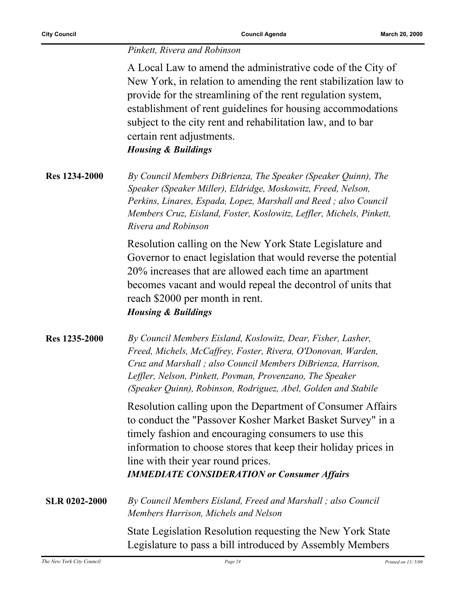#### *Pinkett, Rivera and Robinson*

A Local Law to amend the administrative code of the City of New York, in relation to amending the rent stabilization law to provide for the streamlining of the rent regulation system, establishment of rent guidelines for housing accommodations subject to the city rent and rehabilitation law, and to bar certain rent adjustments.

*Housing & Buildings*

**Res 1234-2000** *By Council Members DiBrienza, The Speaker (Speaker Quinn), The Speaker (Speaker Miller), Eldridge, Moskowitz, Freed, Nelson, Perkins, Linares, Espada, Lopez, Marshall and Reed ; also Council Members Cruz, Eisland, Foster, Koslowitz, Leffler, Michels, Pinkett, Rivera and Robinson*

> Resolution calling on the New York State Legislature and Governor to enact legislation that would reverse the potential 20% increases that are allowed each time an apartment becomes vacant and would repeal the decontrol of units that reach \$2000 per month in rent. *Housing & Buildings*

**Res 1235-2000** *By Council Members Eisland, Koslowitz, Dear, Fisher, Lasher, Freed, Michels, McCaffrey, Foster, Rivera, O'Donovan, Warden, Cruz and Marshall ; also Council Members DiBrienza, Harrison, Leffler, Nelson, Pinkett, Povman, Provenzano, The Speaker (Speaker Quinn), Robinson, Rodriguez, Abel, Golden and Stabile*

> Resolution calling upon the Department of Consumer Affairs to conduct the "Passover Kosher Market Basket Survey" in a timely fashion and encouraging consumers to use this information to choose stores that keep their holiday prices in line with their year round prices. *IMMEDIATE CONSIDERATION or Consumer Affairs*

**SLR 0202-2000** *By Council Members Eisland, Freed and Marshall ; also Council Members Harrison, Michels and Nelson*

> State Legislation Resolution requesting the New York State Legislature to pass a bill introduced by Assembly Members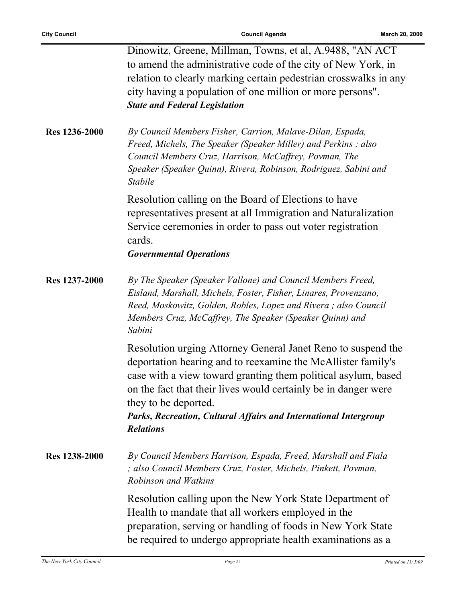ř.

|               | Dinowitz, Greene, Millman, Towns, et al, A.9488, "AN ACT<br>to amend the administrative code of the city of New York, in<br>relation to clearly marking certain pedestrian crosswalks in any<br>city having a population of one million or more persons".<br><b>State and Federal Legislation</b>                                                                               |
|---------------|---------------------------------------------------------------------------------------------------------------------------------------------------------------------------------------------------------------------------------------------------------------------------------------------------------------------------------------------------------------------------------|
| Res 1236-2000 | By Council Members Fisher, Carrion, Malave-Dilan, Espada,<br>Freed, Michels, The Speaker (Speaker Miller) and Perkins; also<br>Council Members Cruz, Harrison, McCaffrey, Povman, The<br>Speaker (Speaker Quinn), Rivera, Robinson, Rodriguez, Sabini and<br>Stabile                                                                                                            |
|               | Resolution calling on the Board of Elections to have<br>representatives present at all Immigration and Naturalization<br>Service ceremonies in order to pass out voter registration<br>cards.<br><b>Governmental Operations</b>                                                                                                                                                 |
| Res 1237-2000 | By The Speaker (Speaker Vallone) and Council Members Freed,<br>Eisland, Marshall, Michels, Foster, Fisher, Linares, Provenzano,<br>Reed, Moskowitz, Golden, Robles, Lopez and Rivera; also Council<br>Members Cruz, McCaffrey, The Speaker (Speaker Quinn) and<br>Sabini                                                                                                        |
|               | Resolution urging Attorney General Janet Reno to suspend the<br>deportation hearing and to reexamine the McAllister family's<br>case with a view toward granting them political asylum, based<br>on the fact that their lives would certainly be in danger were<br>they to be deported.<br>Parks, Recreation, Cultural Affairs and International Intergroup<br><b>Relations</b> |
| Res 1238-2000 | By Council Members Harrison, Espada, Freed, Marshall and Fiala<br>; also Council Members Cruz, Foster, Michels, Pinkett, Povman,<br>Robinson and Watkins                                                                                                                                                                                                                        |
|               | Resolution calling upon the New York State Department of<br>Health to mandate that all workers employed in the<br>preparation, serving or handling of foods in New York State<br>be required to undergo appropriate health examinations as a                                                                                                                                    |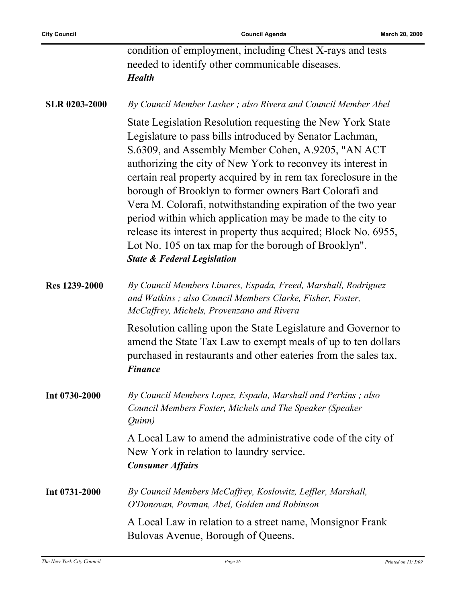|                      | condition of employment, including Chest X-rays and tests<br>needed to identify other communicable diseases.<br><b>Health</b>                                                                                                                                                                                                                                                                                                                                                                                                                                                                                                                                                |
|----------------------|------------------------------------------------------------------------------------------------------------------------------------------------------------------------------------------------------------------------------------------------------------------------------------------------------------------------------------------------------------------------------------------------------------------------------------------------------------------------------------------------------------------------------------------------------------------------------------------------------------------------------------------------------------------------------|
| <b>SLR 0203-2000</b> | By Council Member Lasher; also Rivera and Council Member Abel                                                                                                                                                                                                                                                                                                                                                                                                                                                                                                                                                                                                                |
|                      | State Legislation Resolution requesting the New York State<br>Legislature to pass bills introduced by Senator Lachman,<br>S.6309, and Assembly Member Cohen, A.9205, "AN ACT<br>authorizing the city of New York to reconvey its interest in<br>certain real property acquired by in rem tax foreclosure in the<br>borough of Brooklyn to former owners Bart Colorafi and<br>Vera M. Colorafi, notwithstanding expiration of the two year<br>period within which application may be made to the city to<br>release its interest in property thus acquired; Block No. 6955,<br>Lot No. 105 on tax map for the borough of Brooklyn".<br><b>State &amp; Federal Legislation</b> |
| <b>Res 1239-2000</b> | By Council Members Linares, Espada, Freed, Marshall, Rodriguez<br>and Watkins; also Council Members Clarke, Fisher, Foster,<br>McCaffrey, Michels, Provenzano and Rivera                                                                                                                                                                                                                                                                                                                                                                                                                                                                                                     |
|                      | Resolution calling upon the State Legislature and Governor to<br>amend the State Tax Law to exempt meals of up to ten dollars<br>purchased in restaurants and other eateries from the sales tax.<br><b>Finance</b>                                                                                                                                                                                                                                                                                                                                                                                                                                                           |
| Int 0730-2000        | By Council Members Lopez, Espada, Marshall and Perkins; also<br>Council Members Foster, Michels and The Speaker (Speaker<br><i>Ouinn</i> )                                                                                                                                                                                                                                                                                                                                                                                                                                                                                                                                   |
|                      | A Local Law to amend the administrative code of the city of<br>New York in relation to laundry service.<br><b>Consumer Affairs</b>                                                                                                                                                                                                                                                                                                                                                                                                                                                                                                                                           |
| Int 0731-2000        | By Council Members McCaffrey, Koslowitz, Leffler, Marshall,<br>O'Donovan, Povman, Abel, Golden and Robinson                                                                                                                                                                                                                                                                                                                                                                                                                                                                                                                                                                  |
|                      | A Local Law in relation to a street name, Monsignor Frank<br>Bulovas Avenue, Borough of Queens.                                                                                                                                                                                                                                                                                                                                                                                                                                                                                                                                                                              |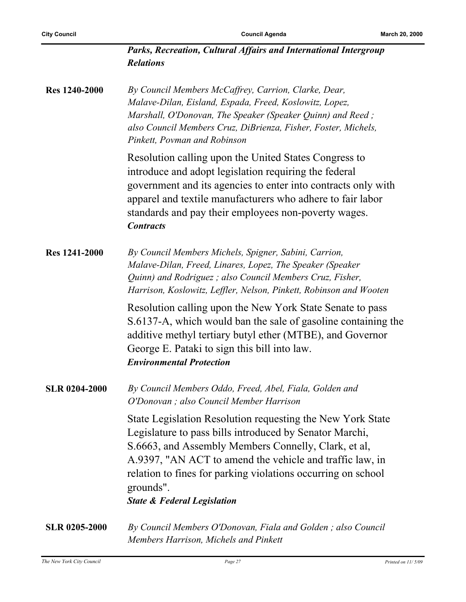| Parks, Recreation, Cultural Affairs and International Intergroup |  |  |
|------------------------------------------------------------------|--|--|
| <b>Relations</b>                                                 |  |  |

**Res 1240-2000** *By Council Members McCaffrey, Carrion, Clarke, Dear, Malave-Dilan, Eisland, Espada, Freed, Koslowitz, Lopez, Marshall, O'Donovan, The Speaker (Speaker Quinn) and Reed ; also Council Members Cruz, DiBrienza, Fisher, Foster, Michels, Pinkett, Povman and Robinson*

> Resolution calling upon the United States Congress to introduce and adopt legislation requiring the federal government and its agencies to enter into contracts only with apparel and textile manufacturers who adhere to fair labor standards and pay their employees non-poverty wages. *Contracts*

**Res 1241-2000** *By Council Members Michels, Spigner, Sabini, Carrion, Malave-Dilan, Freed, Linares, Lopez, The Speaker (Speaker Quinn) and Rodriguez ; also Council Members Cruz, Fisher, Harrison, Koslowitz, Leffler, Nelson, Pinkett, Robinson and Wooten*

> Resolution calling upon the New York State Senate to pass S.6137-A, which would ban the sale of gasoline containing the additive methyl tertiary butyl ether (MTBE), and Governor George E. Pataki to sign this bill into law. *Environmental Protection*

**SLR 0204-2000** *By Council Members Oddo, Freed, Abel, Fiala, Golden and O'Donovan ; also Council Member Harrison*

> State Legislation Resolution requesting the New York State Legislature to pass bills introduced by Senator Marchi, S.6663, and Assembly Members Connelly, Clark, et al, A.9397, "AN ACT to amend the vehicle and traffic law, in relation to fines for parking violations occurring on school grounds".

*State & Federal Legislation*

**SLR 0205-2000** *By Council Members O'Donovan, Fiala and Golden ; also Council Members Harrison, Michels and Pinkett*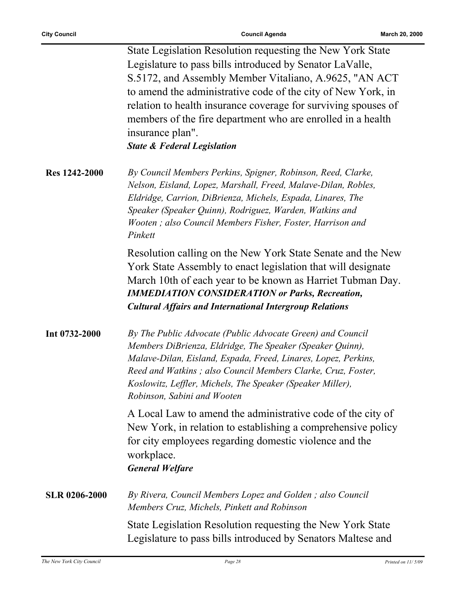|                      | State Legislation Resolution requesting the New York State<br>Legislature to pass bills introduced by Senator LaValle,<br>S.5172, and Assembly Member Vitaliano, A.9625, "AN ACT<br>to amend the administrative code of the city of New York, in<br>relation to health insurance coverage for surviving spouses of<br>members of the fire department who are enrolled in a health<br>insurance plan".<br><b>State &amp; Federal Legislation</b> |
|----------------------|-------------------------------------------------------------------------------------------------------------------------------------------------------------------------------------------------------------------------------------------------------------------------------------------------------------------------------------------------------------------------------------------------------------------------------------------------|
| <b>Res 1242-2000</b> | By Council Members Perkins, Spigner, Robinson, Reed, Clarke,<br>Nelson, Eisland, Lopez, Marshall, Freed, Malave-Dilan, Robles,<br>Eldridge, Carrion, DiBrienza, Michels, Espada, Linares, The<br>Speaker (Speaker Quinn), Rodriguez, Warden, Watkins and<br>Wooten; also Council Members Fisher, Foster, Harrison and<br>Pinkett                                                                                                                |
|                      | Resolution calling on the New York State Senate and the New<br>York State Assembly to enact legislation that will designate<br>March 10th of each year to be known as Harriet Tubman Day.<br><b>IMMEDIATION CONSIDERATION or Parks, Recreation,</b><br><b>Cultural Affairs and International Intergroup Relations</b>                                                                                                                           |
| Int 0732-2000        | By The Public Advocate (Public Advocate Green) and Council<br>Members DiBrienza, Eldridge, The Speaker (Speaker Quinn),<br>Malave-Dilan, Eisland, Espada, Freed, Linares, Lopez, Perkins,<br>Reed and Watkins ; also Council Members Clarke, Cruz, Foster,<br>Koslowitz, Leffler, Michels, The Speaker (Speaker Miller),<br>Robinson, Sabini and Wooten                                                                                         |
|                      | A Local Law to amend the administrative code of the city of<br>New York, in relation to establishing a comprehensive policy<br>for city employees regarding domestic violence and the<br>workplace.<br><b>General Welfare</b>                                                                                                                                                                                                                   |
| SLR 0206-2000        | By Rivera, Council Members Lopez and Golden; also Council<br>Members Cruz, Michels, Pinkett and Robinson                                                                                                                                                                                                                                                                                                                                        |
|                      | State Legislation Resolution requesting the New York State<br>Legislature to pass bills introduced by Senators Maltese and                                                                                                                                                                                                                                                                                                                      |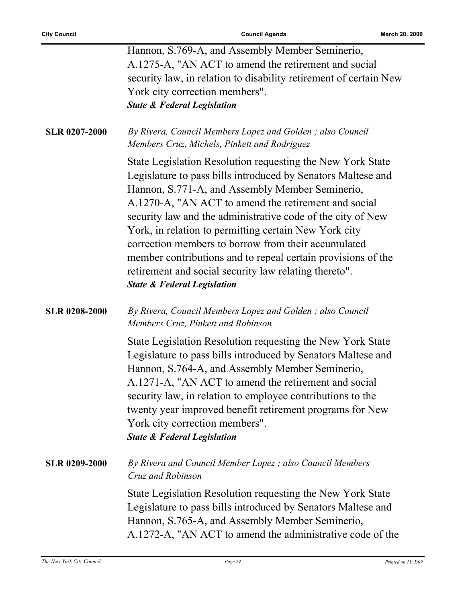|                      | Hannon, S.769-A, and Assembly Member Seminerio,                                                                                                                                                                                                                                                                                                                                                                                                                                                                                                                                         |
|----------------------|-----------------------------------------------------------------------------------------------------------------------------------------------------------------------------------------------------------------------------------------------------------------------------------------------------------------------------------------------------------------------------------------------------------------------------------------------------------------------------------------------------------------------------------------------------------------------------------------|
|                      | A.1275-A, "AN ACT to amend the retirement and social                                                                                                                                                                                                                                                                                                                                                                                                                                                                                                                                    |
|                      | security law, in relation to disability retirement of certain New                                                                                                                                                                                                                                                                                                                                                                                                                                                                                                                       |
|                      | York city correction members".                                                                                                                                                                                                                                                                                                                                                                                                                                                                                                                                                          |
|                      | <b>State &amp; Federal Legislation</b>                                                                                                                                                                                                                                                                                                                                                                                                                                                                                                                                                  |
|                      |                                                                                                                                                                                                                                                                                                                                                                                                                                                                                                                                                                                         |
| <b>SLR 0207-2000</b> | By Rivera, Council Members Lopez and Golden; also Council<br>Members Cruz, Michels, Pinkett and Rodriguez                                                                                                                                                                                                                                                                                                                                                                                                                                                                               |
|                      | State Legislation Resolution requesting the New York State<br>Legislature to pass bills introduced by Senators Maltese and<br>Hannon, S.771-A, and Assembly Member Seminerio,<br>A.1270-A, "AN ACT to amend the retirement and social<br>security law and the administrative code of the city of New<br>York, in relation to permitting certain New York city<br>correction members to borrow from their accumulated<br>member contributions and to repeal certain provisions of the<br>retirement and social security law relating thereto".<br><b>State &amp; Federal Legislation</b> |
| <b>SLR 0208-2000</b> | By Rivera, Council Members Lopez and Golden; also Council<br>Members Cruz, Pinkett and Robinson                                                                                                                                                                                                                                                                                                                                                                                                                                                                                         |
|                      | State Legislation Resolution requesting the New York State<br>Legislature to pass bills introduced by Senators Maltese and<br>Hannon, S.764-A, and Assembly Member Seminerio,<br>A.1271-A, "AN ACT to amend the retirement and social<br>security law, in relation to employee contributions to the<br>twenty year improved benefit retirement programs for New<br>York city correction members".<br><b>State &amp; Federal Legislation</b>                                                                                                                                             |
| <b>SLR 0209-2000</b> | By Rivera and Council Member Lopez; also Council Members<br>Cruz and Robinson                                                                                                                                                                                                                                                                                                                                                                                                                                                                                                           |
|                      | State Legislation Resolution requesting the New York State<br>Legislature to pass bills introduced by Senators Maltese and<br>Hannon, S.765-A, and Assembly Member Seminerio,<br>A.1272-A, "AN ACT to amend the administrative code of the                                                                                                                                                                                                                                                                                                                                              |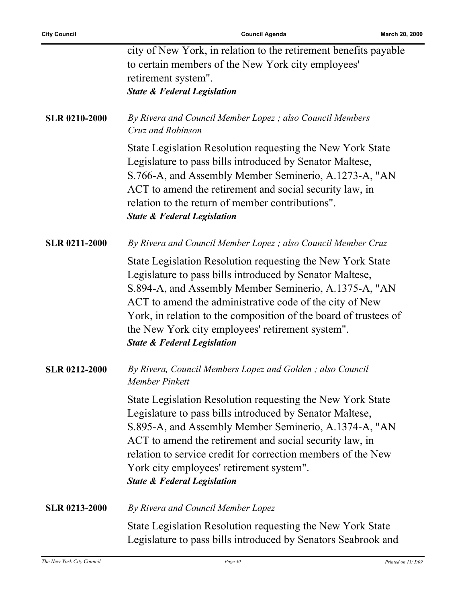|                      | city of New York, in relation to the retirement benefits payable<br>to certain members of the New York city employees'<br>retirement system".<br><b>State &amp; Federal Legislation</b>                                                                                                                                                                                                                      |
|----------------------|--------------------------------------------------------------------------------------------------------------------------------------------------------------------------------------------------------------------------------------------------------------------------------------------------------------------------------------------------------------------------------------------------------------|
| <b>SLR 0210-2000</b> | By Rivera and Council Member Lopez; also Council Members<br>Cruz and Robinson                                                                                                                                                                                                                                                                                                                                |
|                      | State Legislation Resolution requesting the New York State<br>Legislature to pass bills introduced by Senator Maltese,<br>S.766-A, and Assembly Member Seminerio, A.1273-A, "AN<br>ACT to amend the retirement and social security law, in<br>relation to the return of member contributions".<br><b>State &amp; Federal Legislation</b>                                                                     |
| <b>SLR 0211-2000</b> | By Rivera and Council Member Lopez ; also Council Member Cruz                                                                                                                                                                                                                                                                                                                                                |
|                      | State Legislation Resolution requesting the New York State<br>Legislature to pass bills introduced by Senator Maltese,<br>S.894-A, and Assembly Member Seminerio, A.1375-A, "AN<br>ACT to amend the administrative code of the city of New<br>York, in relation to the composition of the board of trustees of<br>the New York city employees' retirement system".<br><b>State &amp; Federal Legislation</b> |
| <b>SLR 0212-2000</b> | By Rivera, Council Members Lopez and Golden; also Council<br>Member Pinkett                                                                                                                                                                                                                                                                                                                                  |
|                      | State Legislation Resolution requesting the New York State<br>Legislature to pass bills introduced by Senator Maltese,<br>S.895-A, and Assembly Member Seminerio, A.1374-A, "AN<br>ACT to amend the retirement and social security law, in<br>relation to service credit for correction members of the New<br>York city employees' retirement system".<br><b>State &amp; Federal Legislation</b>             |
| <b>SLR 0213-2000</b> | By Rivera and Council Member Lopez                                                                                                                                                                                                                                                                                                                                                                           |
|                      | State Legislation Resolution requesting the New York State<br>Legislature to pass bills introduced by Senators Seabrook and                                                                                                                                                                                                                                                                                  |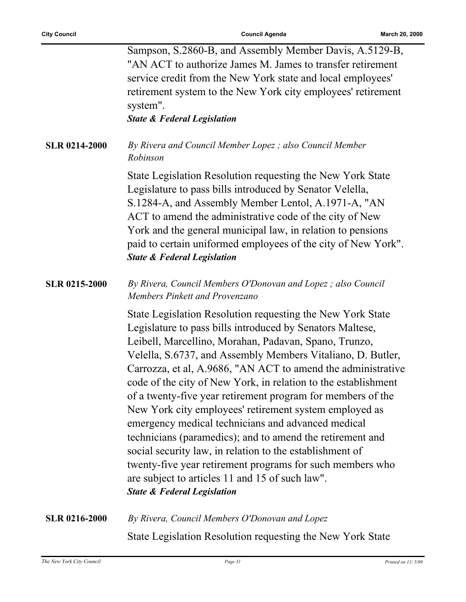|                      | Sampson, S.2860-B, and Assembly Member Davis, A.5129-B,<br>"AN ACT to authorize James M. James to transfer retirement<br>service credit from the New York state and local employees'<br>retirement system to the New York city employees' retirement<br>system".<br><b>State &amp; Federal Legislation</b>                                                                                                                                                                                                                                                                                                                                                                                                                                                                                                                                          |
|----------------------|-----------------------------------------------------------------------------------------------------------------------------------------------------------------------------------------------------------------------------------------------------------------------------------------------------------------------------------------------------------------------------------------------------------------------------------------------------------------------------------------------------------------------------------------------------------------------------------------------------------------------------------------------------------------------------------------------------------------------------------------------------------------------------------------------------------------------------------------------------|
| <b>SLR 0214-2000</b> | By Rivera and Council Member Lopez; also Council Member<br>Robinson                                                                                                                                                                                                                                                                                                                                                                                                                                                                                                                                                                                                                                                                                                                                                                                 |
|                      | State Legislation Resolution requesting the New York State<br>Legislature to pass bills introduced by Senator Velella,<br>S.1284-A, and Assembly Member Lentol, A.1971-A, "AN<br>ACT to amend the administrative code of the city of New<br>York and the general municipal law, in relation to pensions<br>paid to certain uniformed employees of the city of New York".<br><b>State &amp; Federal Legislation</b>                                                                                                                                                                                                                                                                                                                                                                                                                                  |
| <b>SLR 0215-2000</b> | By Rivera, Council Members O'Donovan and Lopez; also Council<br>Members Pinkett and Provenzano                                                                                                                                                                                                                                                                                                                                                                                                                                                                                                                                                                                                                                                                                                                                                      |
|                      | State Legislation Resolution requesting the New York State<br>Legislature to pass bills introduced by Senators Maltese,<br>Leibell, Marcellino, Morahan, Padavan, Spano, Trunzo,<br>Velella, S.6737, and Assembly Members Vitaliano, D. Butler,<br>Carrozza, et al, A.9686, "AN ACT to amend the administrative<br>code of the city of New York, in relation to the establishment<br>of a twenty-five year retirement program for members of the<br>New York city employees' retirement system employed as<br>emergency medical technicians and advanced medical<br>technicians (paramedics); and to amend the retirement and<br>social security law, in relation to the establishment of<br>twenty-five year retirement programs for such members who<br>are subject to articles 11 and 15 of such law".<br><b>State &amp; Federal Legislation</b> |
| <b>SLR 0216-2000</b> | By Rivera, Council Members O'Donovan and Lopez                                                                                                                                                                                                                                                                                                                                                                                                                                                                                                                                                                                                                                                                                                                                                                                                      |
|                      | State Legislation Resolution requesting the New York State                                                                                                                                                                                                                                                                                                                                                                                                                                                                                                                                                                                                                                                                                                                                                                                          |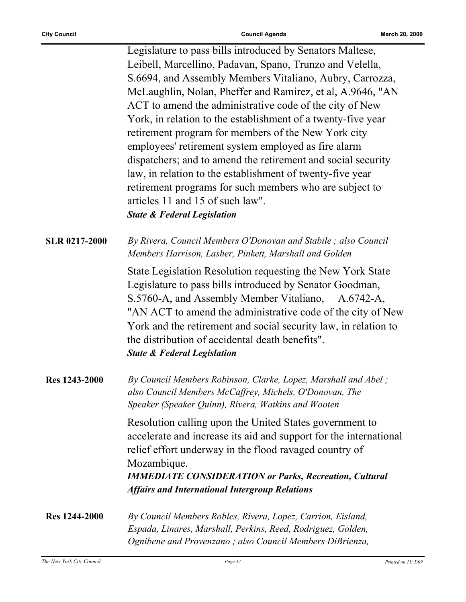|                      | Legislature to pass bills introduced by Senators Maltese,<br>Leibell, Marcellino, Padavan, Spano, Trunzo and Velella,<br>S.6694, and Assembly Members Vitaliano, Aubry, Carrozza,<br>McLaughlin, Nolan, Pheffer and Ramirez, et al, A.9646, "AN<br>ACT to amend the administrative code of the city of New<br>York, in relation to the establishment of a twenty-five year<br>retirement program for members of the New York city<br>employees' retirement system employed as fire alarm<br>dispatchers; and to amend the retirement and social security<br>law, in relation to the establishment of twenty-five year<br>retirement programs for such members who are subject to<br>articles 11 and 15 of such law".<br><b>State &amp; Federal Legislation</b> |
|----------------------|----------------------------------------------------------------------------------------------------------------------------------------------------------------------------------------------------------------------------------------------------------------------------------------------------------------------------------------------------------------------------------------------------------------------------------------------------------------------------------------------------------------------------------------------------------------------------------------------------------------------------------------------------------------------------------------------------------------------------------------------------------------|
| <b>SLR 0217-2000</b> | By Rivera, Council Members O'Donovan and Stabile; also Council<br>Members Harrison, Lasher, Pinkett, Marshall and Golden                                                                                                                                                                                                                                                                                                                                                                                                                                                                                                                                                                                                                                       |
|                      | State Legislation Resolution requesting the New York State<br>Legislature to pass bills introduced by Senator Goodman,<br>S.5760-A, and Assembly Member Vitaliano, A.6742-A,<br>"AN ACT to amend the administrative code of the city of New<br>York and the retirement and social security law, in relation to<br>the distribution of accidental death benefits".<br><b>State &amp; Federal Legislation</b>                                                                                                                                                                                                                                                                                                                                                    |
| Res 1243-2000        | By Council Members Robinson, Clarke, Lopez, Marshall and Abel;<br>also Council Members McCaffrey, Michels, O'Donovan, The<br>Speaker (Speaker Quinn), Rivera, Watkins and Wooten                                                                                                                                                                                                                                                                                                                                                                                                                                                                                                                                                                               |
|                      | Resolution calling upon the United States government to<br>accelerate and increase its aid and support for the international<br>relief effort underway in the flood ravaged country of<br>Mozambique.<br><b>IMMEDIATE CONSIDERATION or Parks, Recreation, Cultural</b>                                                                                                                                                                                                                                                                                                                                                                                                                                                                                         |
|                      | <b>Affairs and International Intergroup Relations</b>                                                                                                                                                                                                                                                                                                                                                                                                                                                                                                                                                                                                                                                                                                          |
| <b>Res</b> 1244-2000 | By Council Members Robles, Rivera, Lopez, Carrion, Eisland,<br>Espada, Linares, Marshall, Perkins, Reed, Rodriguez, Golden,<br>Ognibene and Provenzano; also Council Members DiBrienza,                                                                                                                                                                                                                                                                                                                                                                                                                                                                                                                                                                        |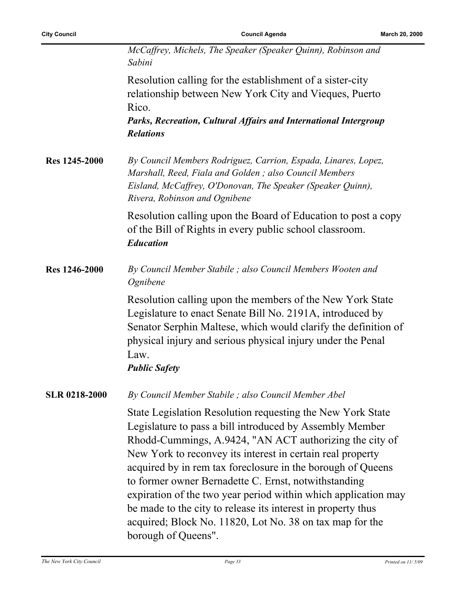|                      | McCaffrey, Michels, The Speaker (Speaker Quinn), Robinson and<br>Sabini                                                                                                                                                                                                                                                                                                                                                                                                                                                                                                                     |
|----------------------|---------------------------------------------------------------------------------------------------------------------------------------------------------------------------------------------------------------------------------------------------------------------------------------------------------------------------------------------------------------------------------------------------------------------------------------------------------------------------------------------------------------------------------------------------------------------------------------------|
|                      | Resolution calling for the establishment of a sister-city<br>relationship between New York City and Vieques, Puerto<br>Rico.<br>Parks, Recreation, Cultural Affairs and International Intergroup<br><b>Relations</b>                                                                                                                                                                                                                                                                                                                                                                        |
| <b>Res</b> 1245-2000 | By Council Members Rodriguez, Carrion, Espada, Linares, Lopez,<br>Marshall, Reed, Fiala and Golden; also Council Members<br>Eisland, McCaffrey, O'Donovan, The Speaker (Speaker Quinn),<br>Rivera, Robinson and Ognibene                                                                                                                                                                                                                                                                                                                                                                    |
|                      | Resolution calling upon the Board of Education to post a copy<br>of the Bill of Rights in every public school classroom.<br><b>Education</b>                                                                                                                                                                                                                                                                                                                                                                                                                                                |
| Res 1246-2000        | By Council Member Stabile; also Council Members Wooten and<br>Ognibene                                                                                                                                                                                                                                                                                                                                                                                                                                                                                                                      |
|                      | Resolution calling upon the members of the New York State<br>Legislature to enact Senate Bill No. 2191A, introduced by<br>Senator Serphin Maltese, which would clarify the definition of<br>physical injury and serious physical injury under the Penal<br>Law.<br><b>Public Safety</b>                                                                                                                                                                                                                                                                                                     |
| <b>SLR 0218-2000</b> | By Council Member Stabile; also Council Member Abel                                                                                                                                                                                                                                                                                                                                                                                                                                                                                                                                         |
|                      | State Legislation Resolution requesting the New York State<br>Legislature to pass a bill introduced by Assembly Member<br>Rhodd-Cummings, A.9424, "AN ACT authorizing the city of<br>New York to reconvey its interest in certain real property<br>acquired by in rem tax foreclosure in the borough of Queens<br>to former owner Bernadette C. Ernst, notwithstanding<br>expiration of the two year period within which application may<br>be made to the city to release its interest in property thus<br>acquired; Block No. 11820, Lot No. 38 on tax map for the<br>borough of Queens". |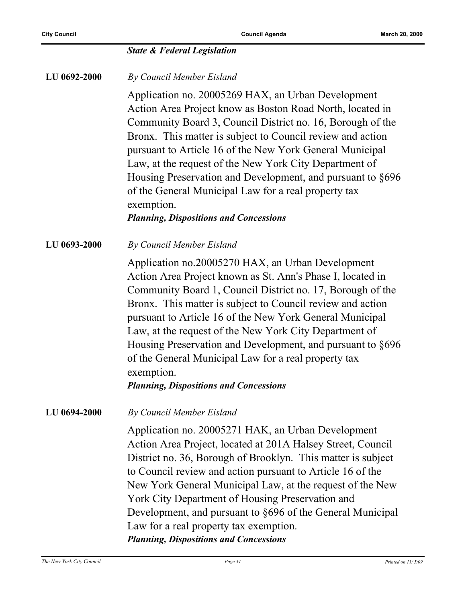|              | <b>State &amp; Federal Legislation</b>                                                                                                                                                                                                                                                                                                                                                                                                                                                                                                                 |
|--------------|--------------------------------------------------------------------------------------------------------------------------------------------------------------------------------------------------------------------------------------------------------------------------------------------------------------------------------------------------------------------------------------------------------------------------------------------------------------------------------------------------------------------------------------------------------|
| LU 0692-2000 | By Council Member Eisland                                                                                                                                                                                                                                                                                                                                                                                                                                                                                                                              |
|              | Application no. 20005269 HAX, an Urban Development<br>Action Area Project know as Boston Road North, located in<br>Community Board 3, Council District no. 16, Borough of the<br>Bronx. This matter is subject to Council review and action<br>pursuant to Article 16 of the New York General Municipal<br>Law, at the request of the New York City Department of<br>Housing Preservation and Development, and pursuant to §696<br>of the General Municipal Law for a real property tax<br>exemption.<br><b>Planning, Dispositions and Concessions</b> |
| LU 0693-2000 | By Council Member Eisland                                                                                                                                                                                                                                                                                                                                                                                                                                                                                                                              |
|              | Application no.20005270 HAX, an Urban Development<br>Action Area Project known as St. Ann's Phase I, located in<br>Community Board 1, Council District no. 17, Borough of the<br>Bronx. This matter is subject to Council review and action<br>pursuant to Article 16 of the New York General Municipal<br>Law, at the request of the New York City Department of<br>Housing Preservation and Development, and pursuant to §696<br>of the General Municipal Law for a real property tax<br>exemption.<br><b>Planning, Dispositions and Concessions</b> |
| LU 0694-2000 | By Council Member Eisland                                                                                                                                                                                                                                                                                                                                                                                                                                                                                                                              |
|              | Application no. 20005271 HAK, an Urban Development<br>Action Area Project, located at 201A Halsey Street, Council<br>District no. 36, Borough of Brooklyn. This matter is subject<br>to Council review and action pursuant to Article 16 of the<br>New York General Municipal Law, at the request of the New<br>York City Department of Housing Preservation and<br>Development, and pursuant to §696 of the General Municipal<br>Law for a real property tax exemption.<br><b>Planning, Dispositions and Concessions</b>                              |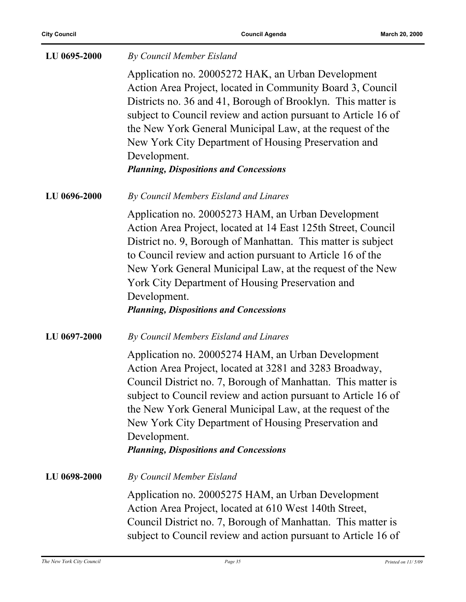| LU 0695-2000 | By Council Member Eisland                                                                                                                                                                                                                                                                                                                                                                                                                |
|--------------|------------------------------------------------------------------------------------------------------------------------------------------------------------------------------------------------------------------------------------------------------------------------------------------------------------------------------------------------------------------------------------------------------------------------------------------|
|              | Application no. 20005272 HAK, an Urban Development<br>Action Area Project, located in Community Board 3, Council<br>Districts no. 36 and 41, Borough of Brooklyn. This matter is<br>subject to Council review and action pursuant to Article 16 of<br>the New York General Municipal Law, at the request of the<br>New York City Department of Housing Preservation and<br>Development.<br><b>Planning, Dispositions and Concessions</b> |
| LU 0696-2000 | By Council Members Eisland and Linares                                                                                                                                                                                                                                                                                                                                                                                                   |
|              | Application no. 20005273 HAM, an Urban Development<br>Action Area Project, located at 14 East 125th Street, Council<br>District no. 9, Borough of Manhattan. This matter is subject<br>to Council review and action pursuant to Article 16 of the<br>New York General Municipal Law, at the request of the New<br>York City Department of Housing Preservation and<br>Development.<br><b>Planning, Dispositions and Concessions</b>      |
| LU 0697-2000 | By Council Members Eisland and Linares                                                                                                                                                                                                                                                                                                                                                                                                   |
|              | Application no. 20005274 HAM, an Urban Development<br>Action Area Project, located at 3281 and 3283 Broadway,<br>Council District no. 7, Borough of Manhattan. This matter is<br>subject to Council review and action pursuant to Article 16 of<br>the New York General Municipal Law, at the request of the<br>New York City Department of Housing Preservation and<br>Development.<br><b>Planning, Dispositions and Concessions</b>    |
| LU 0698-2000 | By Council Member Eisland                                                                                                                                                                                                                                                                                                                                                                                                                |
|              | Application no. 20005275 HAM, an Urban Development<br>Action Area Project, located at 610 West 140th Street,<br>Council District no. 7, Borough of Manhattan. This matter is<br>subject to Council review and action pursuant to Article 16 of                                                                                                                                                                                           |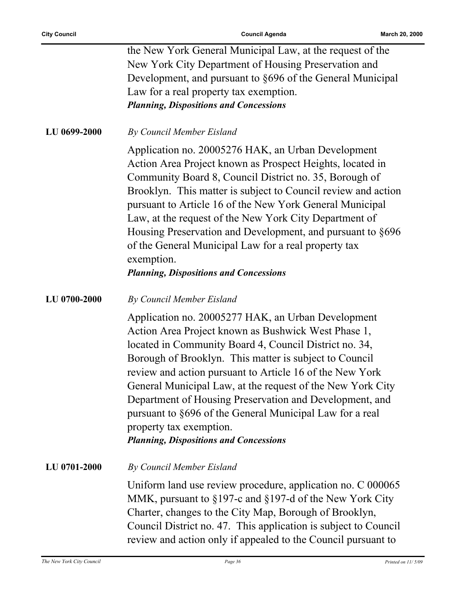|              | the New York General Municipal Law, at the request of the<br>New York City Department of Housing Preservation and<br>Development, and pursuant to §696 of the General Municipal<br>Law for a real property tax exemption.<br><b>Planning, Dispositions and Concessions</b>                                                                                                                                                                                                                                                                                 |
|--------------|------------------------------------------------------------------------------------------------------------------------------------------------------------------------------------------------------------------------------------------------------------------------------------------------------------------------------------------------------------------------------------------------------------------------------------------------------------------------------------------------------------------------------------------------------------|
| LU 0699-2000 | By Council Member Eisland                                                                                                                                                                                                                                                                                                                                                                                                                                                                                                                                  |
|              | Application no. 20005276 HAK, an Urban Development<br>Action Area Project known as Prospect Heights, located in<br>Community Board 8, Council District no. 35, Borough of<br>Brooklyn. This matter is subject to Council review and action<br>pursuant to Article 16 of the New York General Municipal<br>Law, at the request of the New York City Department of<br>Housing Preservation and Development, and pursuant to §696<br>of the General Municipal Law for a real property tax<br>exemption.<br><b>Planning, Dispositions and Concessions</b>      |
| LU 0700-2000 | By Council Member Eisland                                                                                                                                                                                                                                                                                                                                                                                                                                                                                                                                  |
|              | Application no. 20005277 HAK, an Urban Development<br>Action Area Project known as Bushwick West Phase 1,<br>located in Community Board 4, Council District no. 34,<br>Borough of Brooklyn. This matter is subject to Council<br>review and action pursuant to Article 16 of the New York<br>General Municipal Law, at the request of the New York City<br>Department of Housing Preservation and Development, and<br>pursuant to §696 of the General Municipal Law for a real<br>property tax exemption.<br><b>Planning, Dispositions and Concessions</b> |
| LU 0701-2000 | By Council Member Eisland                                                                                                                                                                                                                                                                                                                                                                                                                                                                                                                                  |
|              | Uniform land use review procedure, application no. C 000065<br>MMK, pursuant to §197-c and §197-d of the New York City<br>Charter, changes to the City Map, Borough of Brooklyn,<br>Council District no. 47. This application is subject to Council<br>review and action only if appealed to the Council pursuant to                                                                                                                                                                                                                                       |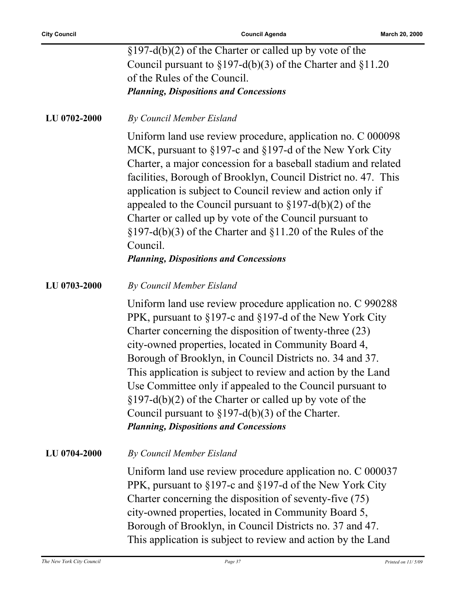|              | $\S 197-d(b)(2)$ of the Charter or called up by vote of the                                                                                                                                                                                                                                                                                                                                                                                                                                                                                                                                               |
|--------------|-----------------------------------------------------------------------------------------------------------------------------------------------------------------------------------------------------------------------------------------------------------------------------------------------------------------------------------------------------------------------------------------------------------------------------------------------------------------------------------------------------------------------------------------------------------------------------------------------------------|
|              | Council pursuant to $\S 197-d(b)(3)$ of the Charter and $\S 11.20$                                                                                                                                                                                                                                                                                                                                                                                                                                                                                                                                        |
|              | of the Rules of the Council.                                                                                                                                                                                                                                                                                                                                                                                                                                                                                                                                                                              |
|              | <b>Planning, Dispositions and Concessions</b>                                                                                                                                                                                                                                                                                                                                                                                                                                                                                                                                                             |
| LU 0702-2000 | By Council Member Eisland                                                                                                                                                                                                                                                                                                                                                                                                                                                                                                                                                                                 |
|              | Uniform land use review procedure, application no. C 000098<br>MCK, pursuant to §197-c and §197-d of the New York City<br>Charter, a major concession for a baseball stadium and related<br>facilities, Borough of Brooklyn, Council District no. 47. This<br>application is subject to Council review and action only if<br>appealed to the Council pursuant to $\S 197-d(b)(2)$ of the<br>Charter or called up by vote of the Council pursuant to<br>$\S 197-d(b)(3)$ of the Charter and $\S 11.20$ of the Rules of the<br>Council.<br><b>Planning, Dispositions and Concessions</b>                    |
| LU 0703-2000 | By Council Member Eisland                                                                                                                                                                                                                                                                                                                                                                                                                                                                                                                                                                                 |
|              | Uniform land use review procedure application no. C 990288<br>PPK, pursuant to §197-c and §197-d of the New York City<br>Charter concerning the disposition of twenty-three (23)<br>city-owned properties, located in Community Board 4,<br>Borough of Brooklyn, in Council Districts no. 34 and 37.<br>This application is subject to review and action by the Land<br>Use Committee only if appealed to the Council pursuant to<br>$\S 197-d(b)(2)$ of the Charter or called up by vote of the<br>Council pursuant to $\S 197-d(b)(3)$ of the Charter.<br><b>Planning, Dispositions and Concessions</b> |
| LU 0704-2000 | By Council Member Eisland                                                                                                                                                                                                                                                                                                                                                                                                                                                                                                                                                                                 |
|              | Uniform land use review procedure application no. C 000037<br>PPK, pursuant to §197-c and §197-d of the New York City<br>Charter concerning the disposition of seventy-five (75)<br>city-owned properties, located in Community Board 5,<br>Borough of Brooklyn, in Council Districts no. 37 and 47.<br>This application is subject to review and action by the Land                                                                                                                                                                                                                                      |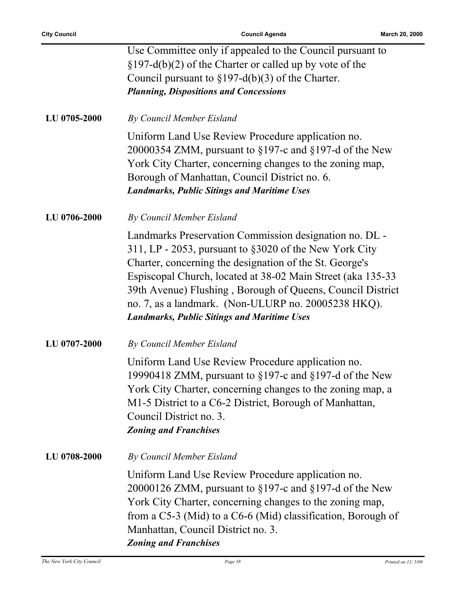|              | Use Committee only if appealed to the Council pursuant to<br>$\S 197-d(b)(2)$ of the Charter or called up by vote of the<br>Council pursuant to $\S 197-d(b)(3)$ of the Charter.<br><b>Planning, Dispositions and Concessions</b>                                                                                                                                                                                      |
|--------------|------------------------------------------------------------------------------------------------------------------------------------------------------------------------------------------------------------------------------------------------------------------------------------------------------------------------------------------------------------------------------------------------------------------------|
| LU 0705-2000 | By Council Member Eisland                                                                                                                                                                                                                                                                                                                                                                                              |
|              | Uniform Land Use Review Procedure application no.<br>20000354 ZMM, pursuant to $\S197$ -c and $\S197$ -d of the New<br>York City Charter, concerning changes to the zoning map,<br>Borough of Manhattan, Council District no. 6.<br><b>Landmarks, Public Sitings and Maritime Uses</b>                                                                                                                                 |
| LU 0706-2000 | By Council Member Eisland                                                                                                                                                                                                                                                                                                                                                                                              |
|              | Landmarks Preservation Commission designation no. DL -<br>311, LP - 2053, pursuant to §3020 of the New York City<br>Charter, concerning the designation of the St. George's<br>Espiscopal Church, located at 38-02 Main Street (aka 135-33)<br>39th Avenue) Flushing, Borough of Queens, Council District<br>no. 7, as a landmark. (Non-ULURP no. 20005238 HKQ).<br><b>Landmarks, Public Sitings and Maritime Uses</b> |
| LU 0707-2000 | By Council Member Eisland                                                                                                                                                                                                                                                                                                                                                                                              |
|              | Uniform Land Use Review Procedure application no.<br>19990418 ZMM, pursuant to $\S197$ -c and $\S197$ -d of the New<br>York City Charter, concerning changes to the zoning map, a<br>M1-5 District to a C6-2 District, Borough of Manhattan,<br>Council District no. 3.<br><b>Zoning and Franchises</b>                                                                                                                |
| LU 0708-2000 | By Council Member Eisland                                                                                                                                                                                                                                                                                                                                                                                              |
|              | Uniform Land Use Review Procedure application no.<br>20000126 ZMM, pursuant to $\S197$ -c and $\S197$ -d of the New<br>York City Charter, concerning changes to the zoning map,<br>from a $C$ 5-3 (Mid) to a $C$ 6-6 (Mid) classification, Borough of<br>Manhattan, Council District no. 3.<br><b>Zoning and Franchises</b>                                                                                            |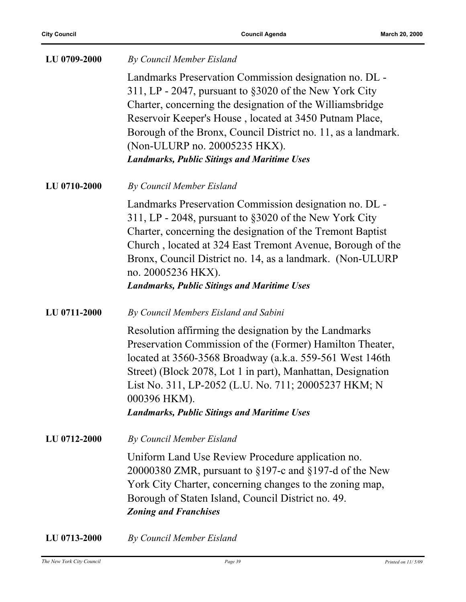| LU 0709-2000 | By Council Member Eisland                                                                                                                                                                                                                                                                                                                                                                        |
|--------------|--------------------------------------------------------------------------------------------------------------------------------------------------------------------------------------------------------------------------------------------------------------------------------------------------------------------------------------------------------------------------------------------------|
|              | Landmarks Preservation Commission designation no. DL -<br>311, LP - 2047, pursuant to §3020 of the New York City<br>Charter, concerning the designation of the Williamsbridge<br>Reservoir Keeper's House, located at 3450 Putnam Place,<br>Borough of the Bronx, Council District no. 11, as a landmark.<br>(Non-ULURP no. 20005235 HKX).<br><b>Landmarks, Public Sitings and Maritime Uses</b> |
| LU 0710-2000 | By Council Member Eisland                                                                                                                                                                                                                                                                                                                                                                        |
|              | Landmarks Preservation Commission designation no. DL -<br>311, LP - 2048, pursuant to §3020 of the New York City<br>Charter, concerning the designation of the Tremont Baptist<br>Church, located at 324 East Tremont Avenue, Borough of the<br>Bronx, Council District no. 14, as a landmark. (Non-ULURP)<br>no. 20005236 HKX).<br><b>Landmarks, Public Sitings and Maritime Uses</b>           |
| LU 0711-2000 | By Council Members Eisland and Sabini                                                                                                                                                                                                                                                                                                                                                            |
|              | Resolution affirming the designation by the Landmarks<br>Preservation Commission of the (Former) Hamilton Theater,<br>located at 3560-3568 Broadway (a.k.a. 559-561 West 146th<br>Street) (Block 2078, Lot 1 in part), Manhattan, Designation<br>List No. 311, LP-2052 (L.U. No. 711; 20005237 HKM; N<br>000396 HKM).<br><b>Landmarks, Public Sitings and Maritime Uses</b>                      |
| LU 0712-2000 | By Council Member Eisland                                                                                                                                                                                                                                                                                                                                                                        |
|              | Uniform Land Use Review Procedure application no.<br>20000380 ZMR, pursuant to $\S197$ -c and $\S197$ -d of the New<br>York City Charter, concerning changes to the zoning map,<br>Borough of Staten Island, Council District no. 49.<br><b>Zoning and Franchises</b>                                                                                                                            |
| LU 0713-2000 | By Council Member Eisland                                                                                                                                                                                                                                                                                                                                                                        |

*The New York City Council Page 39 Printed on 11/ 5/09*